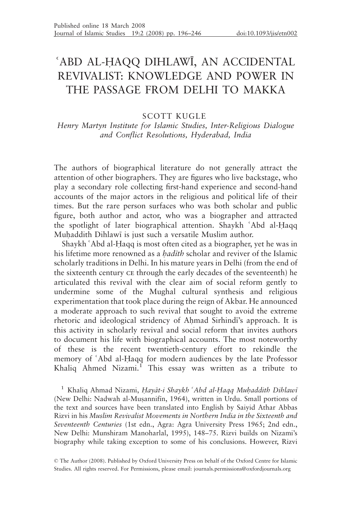# 'ABD AL-HAQQ DIHLAWI, AN ACCIDENTAL REVIVALIST: KNOWLEDGE AND POWER IN THE PASSAGE FROM DELHI TO MAKKA

### SCOTT KUGLE

Henry Martyn Institute for Islamic Studies, Inter-Religious Dialogue and Conflict Resolutions, Hyderabad, India

The authors of biographical literature do not generally attract the attention of other biographers. They are figures who live backstage, who play a secondary role collecting first-hand experience and second-hand accounts of the major actors in the religious and political life of their times. But the rare person surfaces who was both scholar and public figure, both author and actor, who was a biographer and attracted the spotlight of later biographical attention. Shaykh 'Abd al-Haqq Muhaddith Dihlawi is just such a versatile Muslim author.

Shaykh 'Abd al-Haqq is most often cited as a biographer, yet he was in his lifetime more renowned as a *hadith* scholar and reviver of the Islamic scholarly traditions in Delhi. In his mature years in Delhi (from the end of the sixteenth century ce through the early decades of the seventeenth) he articulated this revival with the clear aim of social reform gently to undermine some of the Mughal cultural synthesis and religious experimentation that took place during the reign of Akbar. He announced a moderate approach to such revival that sought to avoid the extreme rhetoric and ideological stridency of Ahmad Sirhindi's approach. It is this activity in scholarly revival and social reform that invites authors to document his life with biographical accounts. The most noteworthy of these is the recent twentieth-century effort to rekindle the memory of 'Abd al-Haqq for modern audiences by the late Professor Khaliq Ahmed Nizami.<sup>1</sup> This essay was written as a tribute to

<sup>1</sup> Khaliq Ahmad Nizami, Hayāt-i Shaykh 'Abd al-Haqq Muḥaddith Dihlawī (New Delhi: Nadwah al-Mușannifīn, 1964), written in Urdu. Small portions of the text and sources have been translated into English by Saiyid Athar Abbas Rizvi in his Muslim Revivalist Movements in Northern India in the Sixteenth and Seventeenth Centuries (1st edn., Agra: Agra University Press 1965; 2nd edn., New Delhi: Munshiram Manoharlal, 1995), 148–75. Rizvi builds on Nizami's biography while taking exception to some of his conclusions. However, Rizvi

 The Author (2008). Published by Oxford University Press on behalf of the Oxford Centre for Islamic Studies. All rights reserved. For Permissions, please email: journals.permissions@oxfordjournals.org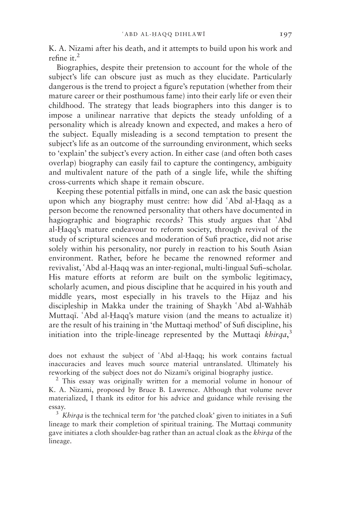K. A. Nizami after his death, and it attempts to build upon his work and refine it.<sup>2</sup>

Biographies, despite their pretension to account for the whole of the subject's life can obscure just as much as they elucidate. Particularly dangerous is the trend to project a figure's reputation (whether from their mature career or their posthumous fame) into their early life or even their childhood. The strategy that leads biographers into this danger is to impose a unilinear narrative that depicts the steady unfolding of a personality which is already known and expected, and makes a hero of the subject. Equally misleading is a second temptation to present the subject's life as an outcome of the surrounding environment, which seeks to 'explain' the subject's every action. In either case (and often both cases overlap) biography can easily fail to capture the contingency, ambiguity and multivalent nature of the path of a single life, while the shifting cross-currents which shape it remain obscure.

Keeping these potential pitfalls in mind, one can ask the basic question upon which any biography must centre: how did 'Abd al-Haqq as a person become the renowned personality that others have documented in hagiographic and biographic records? This study argues that 'Abd al-Eaqq's mature endeavour to reform society, through revival of the study of scriptural sciences and moderation of Sufi practice, did not arise solely within his personality, nor purely in reaction to his South Asian environment. Rather, before he became the renowned reformer and revivalist, 'Abd al-Hagq was an inter-regional, multi-lingual Sufi-scholar. His mature efforts at reform are built on the symbolic legitimacy, scholarly acumen, and pious discipline that he acquired in his youth and middle years, most especially in his travels to the Hijaz and his discipleship in Makka under the training of Shaykh 'Abd al-Wahhāb Muttaqi. 'Abd al-Haqq's mature vision (and the means to actualize it) are the result of his training in 'the Muttaqi method' of Sufi discipline, his initiation into the triple-lineage represented by the Muttaqi  $khirqa$ ,

does not exhaust the subject of 'Abd al-Haqq; his work contains factual inaccuracies and leaves much source material untranslated. Ultimately his reworking of the subject does not do Nizami's original biography justice. <sup>2</sup> This essay was originally written for a memorial volume in honour of

K. A. Nizami, proposed by Bruce B. Lawrence. Although that volume never materialized, I thank its editor for his advice and guidance while revising the

essay.<br><sup>3</sup> *Khirqa* is the technical term for 'the patched cloak' given to initiates in a Sufi lineage to mark their completion of spiritual training. The Muttaqi community gave initiates a cloth shoulder-bag rather than an actual cloak as the khirqa of the lineage.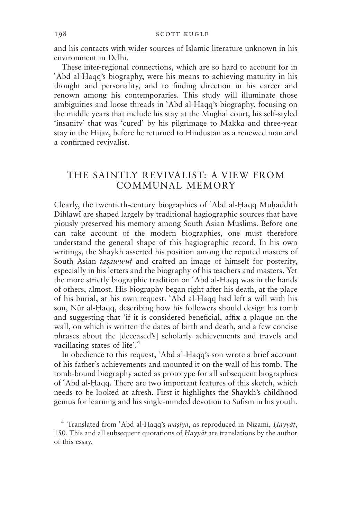and his contacts with wider sources of Islamic literature unknown in his environment in Delhi.

These inter-regional connections, which are so hard to account for in 'Abd al-Haqq's biography, were his means to achieving maturity in his thought and personality, and to finding direction in his career and renown among his contemporaries. This study will illuminate those ambiguities and loose threads in 'Abd al-Haqq's biography, focusing on the middle years that include his stay at the Mughal court, his self-styled 'insanity' that was 'cured' by his pilgrimage to Makka and three-year stay in the Hijaz, before he returned to Hindustan as a renewed man and a confirmed revivalist.

# THE SAINTLY REVIVALIST: A VIEW FROM COMMUNAL MEMORY

Clearly, the twentieth-century biographies of 'Abd al-Haqq Muhaddith Dihlaw; are shaped largely by traditional hagiographic sources that have piously preserved his memory among South Asian Muslims. Before one can take account of the modern biographies, one must therefore understand the general shape of this hagiographic record. In his own writings, the Shaykh asserted his position among the reputed masters of South Asian *tasawwuf* and crafted an image of himself for posterity, especially in his letters and the biography of his teachers and masters. Yet the more strictly biographic tradition on 'Abd al-Haqq was in the hands of others, almost. His biography began right after his death, at the place of his burial, at his own request. 6Abd al-Eaqq had left a will with his son, Nūr al-Haqq, describing how his followers should design his tomb and suggesting that 'if it is considered beneficial, affix a plaque on the wall, on which is written the dates of birth and death, and a few concise phrases about the [deceased's] scholarly achievements and travels and vacillating states of life'.<sup>4</sup>

In obedience to this request, 'Abd al-Haqq's son wrote a brief account of his father's achievements and mounted it on the wall of his tomb. The tomb-bound biography acted as prototype for all subsequent biographies of 6Abd al-Eaqq. There are two important features of this sketch, which needs to be looked at afresh. First it highlights the Shaykh's childhood genius for learning and his single-minded devotion to Sufism in his youth.

<sup>4</sup> Translated from 'Abd al-Haqq's wasiya, as reproduced in Nizami, Hayyāt, 150. This and all subsequent quotations of  $Hayy\bar{a}t$  are translations by the author of this essay.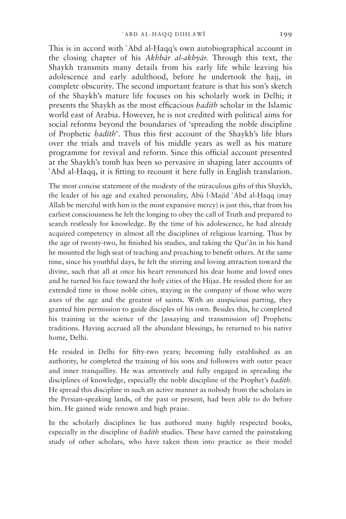This is in accord with 'Abd al-Haqq's own autobiographical account in the closing chapter of his Akhbar al-akhyar. Through this text, the Shaykh transmits many details from his early life while leaving his adolescence and early adulthood, before he undertook the hajj, in complete obscurity. The second important feature is that his son's sketch of the Shaykh's mature life focuses on his scholarly work in Delhi; it presents the Shaykh as the most efficacious *hadith* scholar in the Islamic world east of Arabia. However, he is not credited with political aims for social reforms beyond the boundaries of 'spreading the noble discipline of Prophetic *hadith*'. Thus this first account of the Shaykh's life blurs over the trials and travels of his middle years as well as his mature programme for revival and reform. Since this official account presented at the Shaykh's tomb has been so pervasive in shaping later accounts of Abd al-Haqq, it is fitting to recount it here fully in English translation.

The most concise statement of the modesty of the miraculous gifts of this Shaykh, the leader of his age and exalted personality, Abū l-Majīd 'Abd al-Haqq (may Allah be merciful with him in the most expansive mercy) is just this, that from his earliest consciousness he felt the longing to obey the call of Truth and prepared to search restlessly for knowledge. By the time of his adolescence, he had already acquired competency in almost all the disciplines of religious learning. Thus by the age of twenty-two, he finished his studies, and taking the Qur'an in his hand he mounted the high seat of teaching and preaching to benefit others. At the same time, since his youthful days, he felt the stirring and loving attraction toward the divine, such that all at once his heart renounced his dear home and loved ones and he turned his face toward the holy cities of the Hijaz. He resided there for an extended time in those noble cities, staying in the company of those who were axes of the age and the greatest of saints. With an auspicious parting, they granted him permission to guide disciples of his own. Besides this, he completed his training in the science of the [assaying and transmission of] Prophetic traditions. Having accrued all the abundant blessings, he returned to his native home, Delhi.

He resided in Delhi for fifty-two years; becoming fully established as an authority, he completed the training of his sons and followers with outer peace and inner tranquillity. He was attentively and fully engaged in spreading the disciplines of knowledge, especially the noble discipline of the Prophet's *hadith*. He spread this discipline in such an active manner as nobody from the scholars in the Persian-speaking lands, of the past or present, had been able to do before him. He gained wide renown and high praise.

In the scholarly disciplines he has authored many highly respected books, especially in the discipline of *hadith* studies. These have earned the painstaking study of other scholars, who have taken them into practice as their model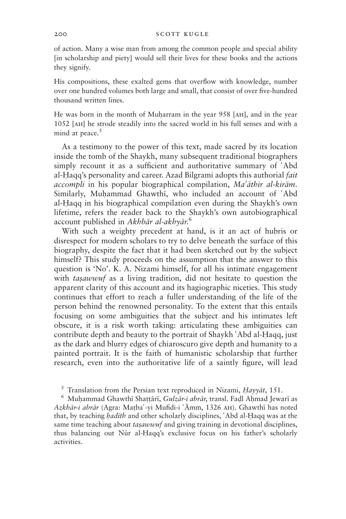of action. Many a wise man from among the common people and special ability [in scholarship and piety] would sell their lives for these books and the actions they signify.

His compositions, these exalted gems that overflow with knowledge, number over one hundred volumes both large and small, that consist of over five-hundred thousand written lines.

He was born in the month of Muḥarram in the year 958 [AH], and in the year 1052 [ah] he strode steadily into the sacred world in his full senses and with a mind at peace.<sup>5</sup>

As a testimony to the power of this text, made sacred by its location inside the tomb of the Shaykh, many subsequent traditional biographers simply recount it as a sufficient and authoritative summary of 'Abd al-Eaqq's personality and career. Azad Bilgrami adopts this authorial fait  $accounti$  in his popular biographical compilation,  $Ma<sup>2</sup>āthir al-kirām$ . Similarly, Muhammad Ghawthi, who included an account of 'Abd al-Eaqq in his biographical compilation even during the Shaykh's own lifetime, refers the reader back to the Shaykh's own autobiographical account published in Akhbār al-akhyār.<sup>6</sup>

With such a weighty precedent at hand, is it an act of hubris or disrespect for modern scholars to try to delve beneath the surface of this biography, despite the fact that it had been sketched out by the subject himself? This study proceeds on the assumption that the answer to this question is 'No'. K. A. Nizami himself, for all his intimate engagement with *tasawwuf* as a living tradition, did not hesitate to question the apparent clarity of this account and its hagiographic niceties. This study continues that effort to reach a fuller understanding of the life of the person behind the renowned personality. To the extent that this entails focusing on some ambiguities that the subject and his intimates left obscure, it is a risk worth taking: articulating these ambiguities can contribute depth and beauty to the portrait of Shaykh 'Abd al-Haqq, just as the dark and blurry edges of chiaroscuro give depth and humanity to a painted portrait. It is the faith of humanistic scholarship that further research, even into the authoritative life of a saintly figure, will lead

<sup>5</sup> Translation from the Persian text reproduced in Nizami, *Hayyāt*, 151.<br><sup>6</sup> Muhammad Ghawthī Shaṭṭārī, *Gulzār-i abrār*, transl. Faḍl Aḥmad Jewarī as

Azkhār-i abrār (Agra: Matba'-yi Mufidi-i 'Āmm, 1326 AH). Ghawthī has noted that, by teaching *hadith* and other scholarly disciplines, 'Abd al-Haqq was at the same time teaching about tasawwuf and giving training in devotional disciplines, thus balancing out Nūr al-Haqq's exclusive focus on his father's scholarly activities.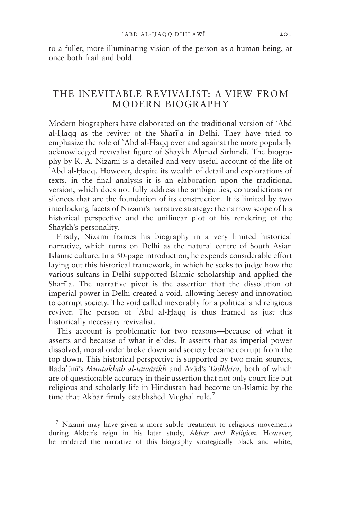to a fuller, more illuminating vision of the person as a human being, at once both frail and bold.

# THE INEVITABLE REVIVALIST: A VIEW FROM MODERN BIOGRAPHY

Modern biographers have elaborated on the traditional version of 'Abd al-Hagq as the reviver of the Shari'a in Delhi. They have tried to emphasize the role of 'Abd al-Haqq over and against the more popularly acknowledged revivalist figure of Shaykh AAmad Sirhind;. The biography by K. A. Nizami is a detailed and very useful account of the life of Abd al-Hagq. However, despite its wealth of detail and explorations of texts, in the final analysis it is an elaboration upon the traditional version, which does not fully address the ambiguities, contradictions or silences that are the foundation of its construction. It is limited by two interlocking facets of Nizami's narrative strategy: the narrow scope of his historical perspective and the unilinear plot of his rendering of the Shaykh's personality.

Firstly, Nizami frames his biography in a very limited historical narrative, which turns on Delhi as the natural centre of South Asian Islamic culture. In a 50-page introduction, he expends considerable effort laying out this historical framework, in which he seeks to judge how the various sultans in Delhi supported Islamic scholarship and applied the Shari<sup>6</sup>a. The narrative pivot is the assertion that the dissolution of imperial power in Delhi created a void, allowing heresy and innovation to corrupt society. The void called inexorably for a political and religious reviver. The person of 'Abd al-Haqq is thus framed as just this historically necessary revivalist.

This account is problematic for two reasons—because of what it asserts and because of what it elides. It asserts that as imperial power dissolved, moral order broke down and society became corrupt from the top down. This historical perspective is supported by two main sources, Bada'ūnī's Muntakhab al-tawārīkh and Āzād's Tadhkira, both of which are of questionable accuracy in their assertion that not only court life but religious and scholarly life in Hindustan had become un-Islamic by the time that Akbar firmly established Mughal rule.<sup>7</sup>

<sup>7</sup> Nizami may have given a more subtle treatment to religious movements during Akbar's reign in his later study, Akbar and Religion. However, he rendered the narrative of this biography strategically black and white,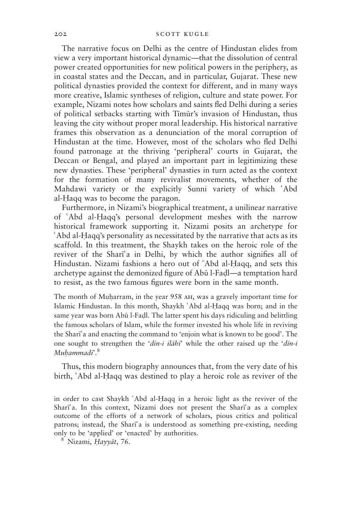The narrative focus on Delhi as the centre of Hindustan elides from view a very important historical dynamic—that the dissolution of central power created opportunities for new political powers in the periphery, as in coastal states and the Deccan, and in particular, Gujarat. These new political dynasties provided the context for different, and in many ways more creative, Islamic syntheses of religion, culture and state power. For example, Nizami notes how scholars and saints fled Delhi during a series of political setbacks starting with Timūr's invasion of Hindustan, thus leaving the city without proper moral leadership. His historical narrative frames this observation as a denunciation of the moral corruption of Hindustan at the time. However, most of the scholars who fled Delhi found patronage at the thriving 'peripheral' courts in Gujarat, the Deccan or Bengal, and played an important part in legitimizing these new dynasties. These 'peripheral' dynasties in turn acted as the context for the formation of many revivalist movements, whether of the Mahdawi variety or the explicitly Sunni variety of which 'Abd al-Hagq was to become the paragon.

Furthermore, in Nizami's biographical treatment, a unilinear narrative of 6Abd al-Eaqq's personal development meshes with the narrow historical framework supporting it. Nizami posits an archetype for Abd al-Haqq's personality as necessitated by the narrative that acts as its scaffold. In this treatment, the Shaykh takes on the heroic role of the reviver of the Shari'a in Delhi, by which the author signifies all of Hindustan. Nizami fashions a hero out of 'Abd al-Haqq, and sets this archetype against the demonized figure of Abū l-Fadl—a temptation hard to resist, as the two famous figures were born in the same month.

The month of Muharram, in the year 958 AH, was a gravely important time for Islamic Hindustan. In this month, Shaykh 'Abd al-Haqq was born; and in the same year was born Abū l-Fadl. The latter spent his days ridiculing and belittling the famous scholars of Islam, while the former invested his whole life in reviving the Shari<sup>c</sup>a and enacting the command to 'enjoin what is known to be good'. The one sought to strengthen the ' $d\bar{m}-i$  ilahi' while the other raised up the ' $d\bar{m}-i$ Muhammad $i^8$ .

Thus, this modern biography announces that, from the very date of his birth, Abd al-Haqq was destined to play a heroic role as reviver of the

in order to cast Shaykh 'Abd al-Haqq in a heroic light as the reviver of the Shari<sup>6</sup>a. In this context, Nizami does not present the Shari<sup>6</sup>a as a complex outcome of the efforts of a network of scholars, pious critics and political patrons; instead, the Shari<sup>c</sup>a is understood as something pre-existing, needing only to be 'applied' or 'enacted' by authorities.<br><sup>8</sup> Nizami, *Hayyāt*, 76.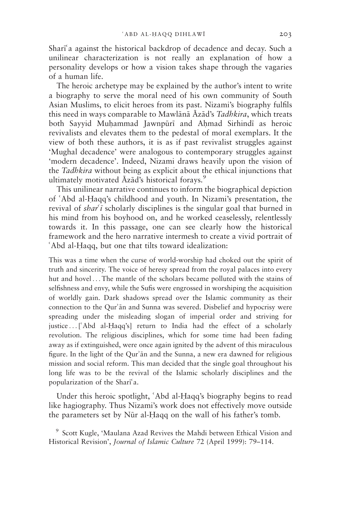Shari<sup>6</sup> a against the historical backdrop of decadence and decay. Such a unilinear characterization is not really an explanation of how a personality develops or how a vision takes shape through the vagaries of a human life.

The heroic archetype may be explained by the author's intent to write a biography to serve the moral need of his own community of South Asian Muslims, to elicit heroes from its past. Nizami's biography fulfils this need in ways comparable to Mawlānā Āzād's Tadhkira, which treats both Sayyid Muhammad Jawnpūrī and Ahmad Sirhindī as heroic revivalists and elevates them to the pedestal of moral exemplars. It the view of both these authors, it is as if past revivalist struggles against 'Mughal decadence' were analogous to contemporary struggles against 'modern decadence'. Indeed, Nizami draws heavily upon the vision of the Tadhkira without being as explicit about the ethical injunctions that ultimately motivated  $\bar{A}z\bar{a}d\hat{c}$  historical forays.<sup>9</sup>

This unilinear narrative continues to inform the biographical depiction of 6Abd al-Eaqq's childhood and youth. In Nizami's presentation, the revival of *shar* $\overline{i}$  scholarly disciplines is the singular goal that burned in his mind from his boyhood on, and he worked ceaselessly, relentlessly towards it. In this passage, one can see clearly how the historical framework and the hero narrative intermesh to create a vivid portrait of Abd al-Haqq, but one that tilts toward idealization:

This was a time when the curse of world-worship had choked out the spirit of truth and sincerity. The voice of heresy spread from the royal palaces into every hut and hovel ...The mantle of the scholars became polluted with the stains of selfishness and envy, while the Sufis were engrossed in worshiping the acquisition of worldly gain. Dark shadows spread over the Islamic community as their connection to the Qur'an and Sunna was severed. Disbelief and hypocrisy were spreading under the misleading slogan of imperial order and striving for justice ... ['Abd al-Haqq's] return to India had the effect of a scholarly revolution. The religious disciplines, which for some time had been fading away as if extinguished, were once again ignited by the advent of this miraculous figure. In the light of the Qur'an and the Sunna, a new era dawned for religious mission and social reform. This man decided that the single goal throughout his long life was to be the revival of the Islamic scholarly disciplines and the popularization of the Shari'a.

Under this heroic spotlight, 'Abd al-Haqq's biography begins to read like hagiography. Thus Nizami's work does not effectively move outside the parameters set by Nūr al-Haqq on the wall of his father's tomb.

<sup>9</sup> Scott Kugle, 'Maulana Azad Revives the Mahdi between Ethical Vision and Historical Revision', Journal of Islamic Culture 72 (April 1999): 79–114.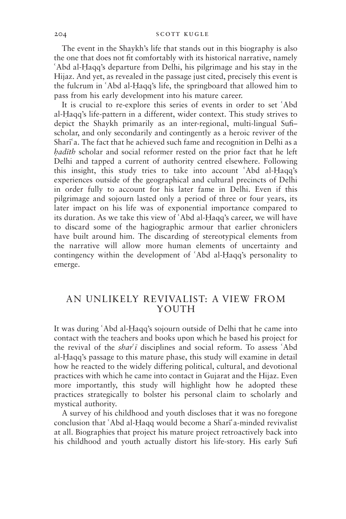The event in the Shaykh's life that stands out in this biography is also the one that does not fit comfortably with its historical narrative, namely Abd al-Haqq's departure from Delhi, his pilgrimage and his stay in the Hijaz. And yet, as revealed in the passage just cited, precisely this event is the fulcrum in 'Abd al-Haqq's life, the springboard that allowed him to pass from his early development into his mature career.

It is crucial to re-explore this series of events in order to set 'Abd al-Eaqq's life-pattern in a different, wider context. This study strives to depict the Shaykh primarily as an inter-regional, multi-lingual Sufi– scholar, and only secondarily and contingently as a heroic reviver of the Shari<sup>6</sup>a. The fact that he achieved such fame and recognition in Delhi as a hadith scholar and social reformer rested on the prior fact that he left Delhi and tapped a current of authority centred elsewhere. Following this insight, this study tries to take into account 'Abd al-Haqq's experiences outside of the geographical and cultural precincts of Delhi in order fully to account for his later fame in Delhi. Even if this pilgrimage and sojourn lasted only a period of three or four years, its later impact on his life was of exponential importance compared to its duration. As we take this view of 'Abd al-Haqq's career, we will have to discard some of the hagiographic armour that earlier chroniclers have built around him. The discarding of stereotypical elements from the narrative will allow more human elements of uncertainty and contingency within the development of 'Abd al-Haqq's personality to emerge.

# AN UNLIKELY REVIVALIST: A VIEW FROM YOUTH

It was during 'Abd al-Haqq's sojourn outside of Delhi that he came into contact with the teachers and books upon which he based his project for the revival of the  $\text{shar}_{i}$  disciplines and social reform. To assess 'Abd al-Eaqq's passage to this mature phase, this study will examine in detail how he reacted to the widely differing political, cultural, and devotional practices with which he came into contact in Gujarat and the Hijaz. Even more importantly, this study will highlight how he adopted these practices strategically to bolster his personal claim to scholarly and mystical authority.

A survey of his childhood and youth discloses that it was no foregone conclusion that 'Abd al-Hagq would become a Shari'a-minded revivalist at all. Biographies that project his mature project retroactively back into his childhood and youth actually distort his life-story. His early Sufi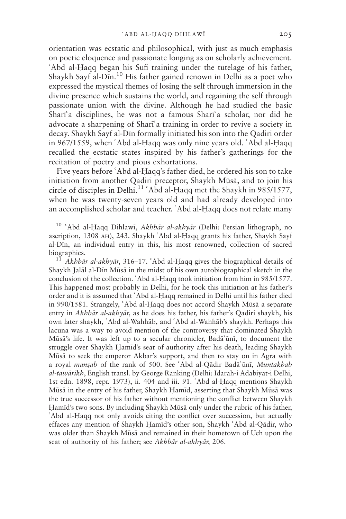orientation was ecstatic and philosophical, with just as much emphasis on poetic eloquence and passionate longing as on scholarly achievement. Abd al-Haqq began his Sufi training under the tutelage of his father, Shaykh Sayf al-Din.<sup>10</sup> His father gained renown in Delhi as a poet who expressed the mystical themes of losing the self through immersion in the divine presence which sustains the world, and regaining the self through passionate union with the divine. Although he had studied the basic Shari<sup>6</sup>a disciplines, he was not a famous Shari<sup>6</sup>a scholar, nor did he advocate a sharpening of Shari'a training in order to revive a society in decay. Shaykh Sayf al-D;n formally initiated his son into the Qadiri order in 967/1559, when 'Abd al-Hagq was only nine years old. 'Abd al-Hagq recalled the ecstatic states inspired by his father's gatherings for the recitation of poetry and pious exhortations.

Five years before 'Abd al-Haqq's father died, he ordered his son to take initiation from another Qadiri preceptor, Shaykh Mūsā, and to join his circle of disciples in Delhi.<sup>11</sup> 'Abd al-Haqq met the Shaykh in 985/1577, when he was twenty-seven years old and had already developed into an accomplished scholar and teacher. Abd al-Hagq does not relate many

<sup>10</sup> 'Abd al-Haqq Dihlawi, Akhbār al-akhyār (Delhi: Persian lithograph, no ascription, 1308 AH), 243. Shaykh 'Abd al-Haqq grants his father, Shaykh Sayf al-Dīn, an individual entry in this, his most renowned, collection of sacred

biographies.<br><sup>11</sup> Akhbār al-akhyār, 316–17. 'Abd al-Haqq gives the biographical details of Shaykh Jalāl al-Dīn Mūsā in the midst of his own autobiographical sketch in the conclusion of the collection. 'Abd al-Haqq took initiation from him in 985/1577. This happened most probably in Delhi, for he took this initiation at his father's order and it is assumed that 'Abd al-Haqq remained in Delhi until his father died in 990/1581. Strangely, 'Abd al-Haqq does not accord Shaykh Mūsā a separate entry in Akhbār al-akhyār, as he does his father, his father's Qadiri shaykh, his own later shaykh, 'Abd al-Wahhāb, and 'Abd al-Wahhāb's shaykh. Perhaps this lacuna was a way to avoid mention of the controversy that dominated Shaykh Mūsā's life. It was left up to a secular chronicler, Badā'ūnī, to document the struggle over Shaykh Hamid's seat of authority after his death, leading Shaykh Mūsā to seek the emperor Akbar's support, and then to stay on in Agra with a royal mansab of the rank of 500. See 'Abd al-Qādir Badā'ūnī, Muntakhab al-tawārīkh, English transl. by George Ranking (Delhi: Idarah-i Adabiyat-i Delhi, 1st edn. 1898, repr. 1973), ii. 404 and iii. 91. 'Abd al-Haqq mentions Shaykh Mūsā in the entry of his father, Shaykh Hamīd, asserting that Shaykh Mūsā was the true successor of his father without mentioning the conflict between Shaykh Hamid's two sons. By including Shaykh Mūsā only under the rubric of his father, Abd al-Haqq not only avoids citing the conflict over succession, but actually effaces any mention of Shaykh Hamid's other son, Shaykh 'Abd al-Qādir, who was older than Shaykh Mūsā and remained in their hometown of Uch upon the seat of authority of his father; see Akhbār al-akhyār, 206.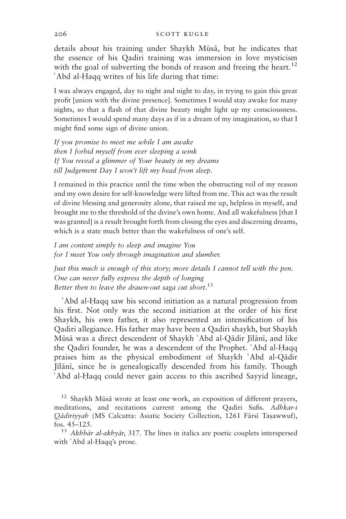details about his training under Shaykh Mūsā, but he indicates that the essence of his Qadiri training was immersion in love mysticism with the goal of subverting the bonds of reason and freeing the heart.<sup>12</sup> Abd al-Haqq writes of his life during that time:

I was always engaged, day to night and night to day, in trying to gain this great profit [union with the divine presence]. Sometimes I would stay awake for many nights, so that a flash of that divine beauty might light up my consciousness. Sometimes I would spend many days as if in a dream of my imagination, so that I might find some sign of divine union.

If you promise to meet me while I am awake then I forbid myself from ever sleeping a wink If You reveal a glimmer of Your beauty in my dreams till Judgement Day I won't lift my head from sleep.

I remained in this practice until the time when the obstructing veil of my reason and my own desire for self-knowledge were lifted from me. This act was the result of divine blessing and generosity alone, that raised me up, helpless in myself, and brought me to the threshold of the divine's own home. And all wakefulness [that I was granted] is a result brought forth from closing the eyes and discerning dreams, which is a state much better than the wakefulness of one's self.

I am content simply to sleep and imagine You for I meet You only through imagination and slumber.

Just this much is enough of this story; more details I cannot tell with the pen. One can never fully express the depth of longing Better then to leave the drawn-out saga cut short.<sup>13</sup>

'Abd al-Haqq saw his second initiation as a natural progression from his first. Not only was the second initiation at the order of his first Shaykh, his own father, it also represented an intensification of his Qadiri allegiance. His father may have been a Qadiri shaykh, but Shaykh Mūsā was a direct descendent of Shaykh 'Abd al-Qādir Jīlānī, and like the Qadiri founder, he was a descendent of the Prophet. 'Abd al-Haqq praises him as the physical embodiment of Shaykh 'Abd al-Qādir Jīlānī, since he is genealogically descended from his family. Though Abd al-Haqq could never gain access to this ascribed Sayyid lineage,

 $12$  Shaykh Mūsā wrote at least one work, an exposition of different prayers, meditations, and recitations current among the Qadiri Sufis. Adhkar-i Qādiriyyah (MS Calcutta: Asiatic Society Collection, 1261 Fārsī Taṣawwuf),

fos.  $45-125$ .<br><sup>13</sup> Akhbār al-akhyār, 317. The lines in italics are poetic couplets interspersed with 'Abd al-Haqq's prose.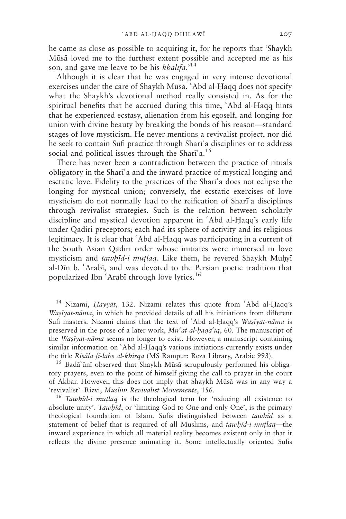he came as close as possible to acquiring it, for he reports that 'Shaykh Mūsā loved me to the furthest extent possible and accepted me as his son, and gave me leave to be his *khalifa*.<sup>14</sup>

Although it is clear that he was engaged in very intense devotional exercises under the care of Shaykh Mūsā, 'Abd al-Haqq does not specify what the Shaykh's devotional method really consisted in. As for the spiritual benefits that he accrued during this time, 'Abd al-Haqq hints that he experienced ecstasy, alienation from his egoself, and longing for union with divine beauty by breaking the bonds of his reason—standard stages of love mysticism. He never mentions a revivalist project, nor did he seek to contain Sufi practice through Shari'a disciplines or to address social and political issues through the Shari<sup>6</sup>a.<sup>15</sup>

There has never been a contradiction between the practice of rituals obligatory in the Shari<sup>a</sup> and the inward practice of mystical longing and esctatic love. Fidelity to the practices of the Shari'a does not eclipse the longing for mystical union; conversely, the ecstatic exercises of love mysticism do not normally lead to the reification of Shari'a disciplines through revivalist strategies. Such is the relation between scholarly discipline and mystical devotion apparent in 'Abd al-Haqq's early life under Qadiri preceptors; each had its sphere of activity and its religious legitimacy. It is clear that 'Abd al-Haqq was participating in a current of the South Asian Qadiri order whose initiates were immersed in love mysticism and tawhīd-i mutlaq. Like them, he revered Shaykh Muhyī al-Din b. 'Arabi, and was devoted to the Persian poetic tradition that popularized Ibn 'Arabi through love lyrics.<sup>16</sup>

<sup>14</sup> Nizami, Hayyāt, 132. Nizami relates this quote from 'Abd al-Haqq's Wasiyat-nāma, in which he provided details of all his initiations from different Sufi masters. Nizami claims that the text of 'Abd al-Haqq's Wasiyat-nāma is preserved in the prose of a later work,  $Mir^2$  at al- $haq\bar{a}iq$ , 60. The manuscript of the Wasiyat-nāma seems no longer to exist. However, a manuscript containing similar information on 'Abd al-Haqq's various initiations currently exists under the title Risāla fī-labs al-khirqa (MS Rampur: Reza Library, Arabic 993).<br><sup>15</sup> Badā<sup>2</sup>ūnī observed that Shaykh Mūsā scrupulously performed his obliga-

tory prayers, even to the point of himself giving the call to prayer in the court of Akbar. However, this does not imply that Shaykh Mūsā was in any way a 'revivalist'. Rizvi, *Muslim Revivalist Movements*, 156.<br><sup>16</sup> Tawhīd-i mutlaq is the theological term for 'reducing all existence to

absolute unity'. Tawhid, or 'limiting God to One and only One', is the primary theological foundation of Islam. Sufis distinguished between tawhid as a statement of belief that is required of all Muslims, and *tawhid-i mutlaq*—the inward experience in which all material reality becomes existent only in that it reflects the divine presence animating it. Some intellectually oriented Sufis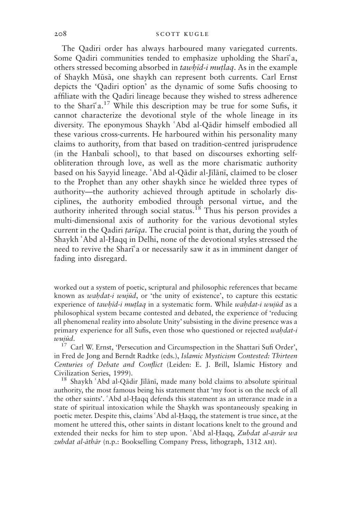The Qadiri order has always harboured many variegated currents. Some Qadiri communities tended to emphasize upholding the Shari<sup>6</sup>a, others stressed becoming absorbed in  $tawh\bar{d}$ -i mutlaq. As in the example of Shaykh Mūsā, one shaykh can represent both currents. Carl Ernst depicts the 'Qadiri option' as the dynamic of some Sufis choosing to affiliate with the Qadiri lineage because they wished to stress adherence to the Shari'a.<sup>17</sup> While this description may be true for some Sufis, it cannot characterize the devotional style of the whole lineage in its diversity. The eponymous Shaykh 'Abd al-Qādir himself embodied all these various cross-currents. He harboured within his personality many claims to authority, from that based on tradition-centred jurisprudence (in the Hanbali school), to that based on discourses exhorting selfobliteration through love, as well as the more charismatic authority based on his Sayyid lineage. 'Abd al-Qādir al-Jīlānī, claimed to be closer to the Prophet than any other shaykh since he wielded three types of authority—the authority achieved through aptitude in scholarly disciplines, the authority embodied through personal virtue, and the authority inherited through social status.<sup>18</sup> Thus his person provides a multi-dimensional axis of authority for the various devotional styles current in the Qadiri *tariqa*. The crucial point is that, during the youth of Shaykh 'Abd al-Haqq in Delhi, none of the devotional styles stressed the need to revive the Shari<sup>c</sup>a or necessarily saw it as in imminent danger of fading into disregard.

worked out a system of poetic, scriptural and philosophic references that became known as wahdat-i wujud, or 'the unity of existence', to capture this ecstatic experience of tawhid-i mutlaq in a systematic form. While wahdat-i wujud as a philosophical system became contested and debated, the experience of 'reducing all phenomenal reality into absolute Unity' subsisting in the divine presence was a primary experience for all Sufis, even those who questioned or rejected *wahdat-i wujūd.*  $17$  Carl W. Ernst, 'Persecution and Circumspection in the Shattari Sufi Order',

in Fred de Jong and Berndt Radtke (eds.), Islamic Mysticism Contested: Thirteen Centuries of Debate and Conflict (Leiden: E. J. Brill, Islamic History and Civilization Series, 1999).<br><sup>18</sup> Shaykh 'Abd al-Qādir Jīlānī, made many bold claims to absolute spiritual

authority, the most famous being his statement that 'my foot is on the neck of all the other saints'. 'Abd al-Haqq defends this statement as an utterance made in a state of spiritual intoxication while the Shaykh was spontaneously speaking in poetic meter. Despite this, claims 'Abd al-Haqq, the statement is true since, at the moment he uttered this, other saints in distant locations knelt to the ground and extended their necks for him to step upon. 'Abd al-Haqq, Zubdat al-asrār wa zubdat al-āthār (n.p.: Bookselling Company Press, lithograph, 1312 AH).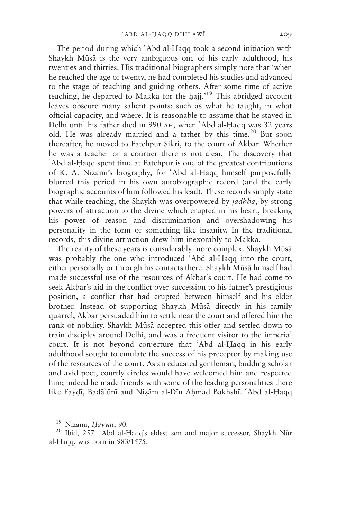The period during which 'Abd al-Haqq took a second initiation with Shaykh Mūsā is the very ambiguous one of his early adulthood, his twenties and thirties. His traditional biographers simply note that 'when he reached the age of twenty, he had completed his studies and advanced to the stage of teaching and guiding others. After some time of active teaching, he departed to Makka for the hajj.'<sup>19</sup> This abridged account leaves obscure many salient points: such as what he taught, in what official capacity, and where. It is reasonable to assume that he stayed in Delhi until his father died in 990 AH, when 'Abd al-Haqq was 32 years old. He was already married and a father by this time.<sup>20</sup> But soon thereafter, he moved to Fatehpur Sikri, to the court of Akbar. Whether he was a teacher or a courtier there is not clear. The discovery that Abd al-Haqq spent time at Fatehpur is one of the greatest contributions of K. A. Nizami's biography, for 'Abd al-Haqq himself purposefully blurred this period in his own autobiographic record (and the early biographic accounts of him followed his lead). These records simply state that while teaching, the Shaykh was overpowered by *jadhba*, by strong powers of attraction to the divine which erupted in his heart, breaking his power of reason and discrimination and overshadowing his personality in the form of something like insanity. In the traditional records, this divine attraction drew him inexorably to Makka.

The reality of these years is considerably more complex. Shaykh Mūsā was probably the one who introduced 'Abd al-Haqq into the court, either personally or through his contacts there. Shaykh Mūsā himself had made successful use of the resources of Akbar's court. He had come to seek Akbar's aid in the conflict over succession to his father's prestigious position, a conflict that had erupted between himself and his elder brother. Instead of supporting Shaykh Mūsā directly in his family quarrel, Akbar persuaded him to settle near the court and offered him the rank of nobility. Shaykh Mūsā accepted this offer and settled down to train disciples around Delhi, and was a frequent visitor to the imperial court. It is not beyond conjecture that 'Abd al-Haqq in his early adulthood sought to emulate the success of his preceptor by making use of the resources of the court. As an educated gentleman, budding scholar and avid poet, courtly circles would have welcomed him and respected him; indeed he made friends with some of the leading personalities there like Faydī, Badā'ūnī and Nizām al-Dīn Ahmad Bakhshī. 'Abd al-Haqq

<sup>&</sup>lt;sup>19</sup> Nizami, Hayyāt, 90.<br><sup>20</sup> Ibid, 257. 'Abd al-Ḥaqq's eldest son and major successor, Shaykh Nūr al-Eaqq, was born in 983/1575.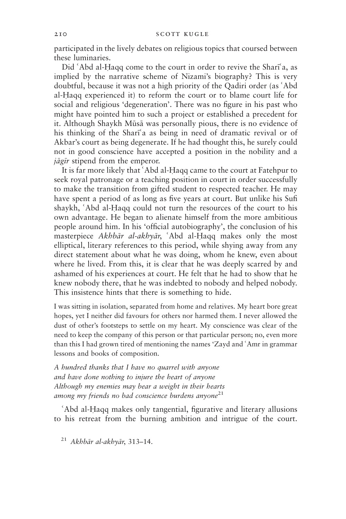participated in the lively debates on religious topics that coursed between these luminaries.

Did 'Abd al-Haqq come to the court in order to revive the Shari'a, as implied by the narrative scheme of Nizami's biography? This is very doubtful, because it was not a high priority of the Qadiri order (as 'Abd al-Eaqq experienced it) to reform the court or to blame court life for social and religious 'degeneration'. There was no figure in his past who might have pointed him to such a project or established a precedent for it. Although Shaykh Mūsā was personally pious, there is no evidence of his thinking of the Shari<sup>c</sup>a as being in need of dramatic revival or of Akbar's court as being degenerate. If he had thought this, he surely could not in good conscience have accepted a position in the nobility and a  $j\bar{a}g\bar{i}r$  stipend from the emperor.

It is far more likely that 'Abd al-Haqq came to the court at Fatehpur to seek royal patronage or a teaching position in court in order successfully to make the transition from gifted student to respected teacher. He may have spent a period of as long as five years at court. But unlike his Sufi shaykh, 'Abd al-Haqq could not turn the resources of the court to his own advantage. He began to alienate himself from the more ambitious people around him. In his 'official autobiography', the conclusion of his masterpiece Akhbār al-akhyār, 'Abd al-Haqq makes only the most elliptical, literary references to this period, while shying away from any direct statement about what he was doing, whom he knew, even about where he lived. From this, it is clear that he was deeply scarred by and ashamed of his experiences at court. He felt that he had to show that he knew nobody there, that he was indebted to nobody and helped nobody. This insistence hints that there is something to hide.

I was sitting in isolation, separated from home and relatives. My heart bore great hopes, yet I neither did favours for others nor harmed them. I never allowed the dust of other's footsteps to settle on my heart. My conscience was clear of the need to keep the company of this person or that particular person; no, even more than this I had grown tired of mentioning the names 'Zayd and 'Amr in grammar lessons and books of composition.

A hundred thanks that I have no quarrel with anyone and have done nothing to injure the heart of anyone Although my enemies may bear a weight in their hearts among my friends no bad conscience burdens anyone<sup>21</sup>

6Abd al-Eaqq makes only tangential, figurative and literary allusions to his retreat from the burning ambition and intrigue of the court.

 $^{21}$  Akhbār al-akhyār, 313-14.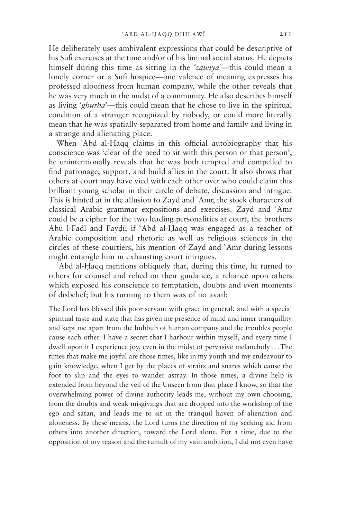He deliberately uses ambivalent expressions that could be descriptive of his Sufi exercises at the time and/or of his liminal social status. He depicts himself during this time as sitting in the ' $z \bar{a} w i v a'$ —this could mean a lonely corner or a Sufi hospice—one valence of meaning expresses his professed aloofness from human company, while the other reveals that he was very much in the midst of a community. He also describes himself as living 'ghurba'—this could mean that he chose to live in the spiritual condition of a stranger recognized by nobody, or could more literally mean that he was spatially separated from home and family and living in a strange and alienating place.

When 'Abd al-Haqq claims in this official autobiography that his conscience was 'clear of the need to sit with this person or that person', he unintentionally reveals that he was both tempted and compelled to find patronage, support, and build allies in the court. It also shows that others at court may have vied with each other over who could claim this brilliant young scholar in their circle of debate, discussion and intrigue. This is hinted at in the allusion to Zayd and 'Amr, the stock characters of classical Arabic grammar expositions and exercises. Zayd and 'Amr could be a cipher for the two leading personalities at court, the brothers Abū l-Fadl and Faydī; if 'Abd al-Haqq was engaged as a teacher of Arabic composition and rhetoric as well as religious sciences in the circles of these courtiers, his mention of Zayd and 'Amr during lessons might entangle him in exhausting court intrigues.

Abd al-Hagq mentions obliquely that, during this time, he turned to others for counsel and relied on their guidance, a reliance upon others which exposed his conscience to temptation, doubts and even moments of disbelief; but his turning to them was of no avail:

The Lord has blessed this poor servant with grace in general, and with a special spiritual taste and state that has given me presence of mind and inner tranquillity and kept me apart from the hubbub of human company and the troubles people cause each other. I have a secret that I harbour within myself, and every time I dwell upon it I experience joy, even in the midst of pervasive melancholy ...The times that make me joyful are those times, like in my youth and my endeavour to gain knowledge, when I get by the places of straits and snares which cause the foot to slip and the eyes to wander astray. In those times, a divine help is extended from beyond the veil of the Unseen from that place I know, so that the overwhelming power of divine authority leads me, without my own choosing, from the doubts and weak misgivings that are dropped into the workshop of the ego and satan, and leads me to sit in the tranquil haven of alienation and aloneness. By these means, the Lord turns the direction of my seeking aid from others into another direction, toward the Lord alone. For a time, due to the opposition of my reason and the tumult of my vain ambition, I did not even have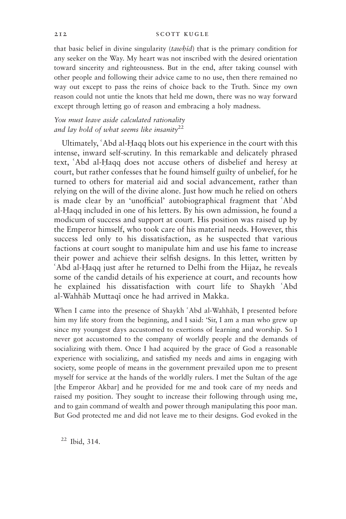that basic belief in divine singularity  $(tawh\bar{d})$  that is the primary condition for any seeker on the Way. My heart was not inscribed with the desired orientation toward sincerity and righteousness. But in the end, after taking counsel with other people and following their advice came to no use, then there remained no way out except to pass the reins of choice back to the Truth. Since my own reason could not untie the knots that held me down, there was no way forward except through letting go of reason and embracing a holy madness.

### You must leave aside calculated rationality and lay hold of what seems like insanity<sup>22</sup>

Ultimately, Abd al-Haqq blots out his experience in the court with this intense, inward self-scrutiny. In this remarkable and delicately phrased text, 'Abd al-Haqq does not accuse others of disbelief and heresy at court, but rather confesses that he found himself guilty of unbelief, for he turned to others for material aid and social advancement, rather than relying on the will of the divine alone. Just how much he relied on others is made clear by an 'unofficial' autobiographical fragment that 'Abd al-Eaqq included in one of his letters. By his own admission, he found a modicum of success and support at court. His position was raised up by the Emperor himself, who took care of his material needs. However, this success led only to his dissatisfaction, as he suspected that various factions at court sought to manipulate him and use his fame to increase their power and achieve their selfish designs. In this letter, written by Abd al-Hagq just after he returned to Delhi from the Hijaz, he reveals some of the candid details of his experience at court, and recounts how he explained his dissatisfaction with court life to Shaykh 'Abd al-Wahhāb Muttaqī once he had arrived in Makka.

When I came into the presence of Shaykh 'Abd al-Wahhāb, I presented before him my life story from the beginning, and I said: 'Sir, I am a man who grew up since my youngest days accustomed to exertions of learning and worship. So I never got accustomed to the company of worldly people and the demands of socializing with them. Once I had acquired by the grace of God a reasonable experience with socializing, and satisfied my needs and aims in engaging with society, some people of means in the government prevailed upon me to present myself for service at the hands of the worldly rulers. I met the Sultan of the age [the Emperor Akbar] and he provided for me and took care of my needs and raised my position. They sought to increase their following through using me, and to gain command of wealth and power through manipulating this poor man. But God protected me and did not leave me to their designs. God evoked in the

<sup>22</sup> Ibid, 314.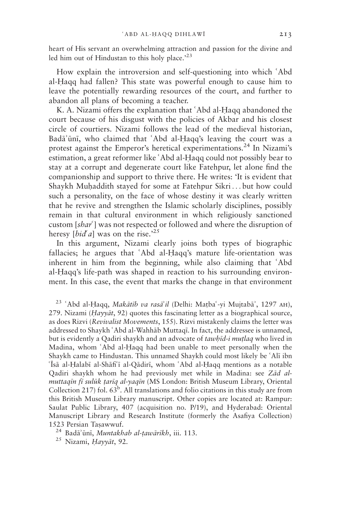heart of His servant an overwhelming attraction and passion for the divine and led him out of Hindustan to this holy place.<sup>'23</sup>

How explain the introversion and self-questioning into which 'Abd al-Eaqq had fallen? This state was powerful enough to cause him to leave the potentially rewarding resources of the court, and further to abandon all plans of becoming a teacher.

K. A. Nizami offers the explanation that 'Abd al-Haqq abandoned the court because of his disgust with the policies of Akbar and his closest circle of courtiers. Nizami follows the lead of the medieval historian, Badā'ūnī, who claimed that 'Abd al-Haqq's leaving the court was a protest against the Emperor's heretical experimentations.<sup>24</sup> In Nizami's estimation, a great reformer like 'Abd al-Haqq could not possibly bear to stay at a corrupt and degenerate court like Fatehpur, let alone find the companionship and support to thrive there. He writes: 'It is evident that Shaykh Muhaddith stayed for some at Fatehpur Sikri...but how could such a personality, on the face of whose destiny it was clearly written that he revive and strengthen the Islamic scholarly disciplines, possibly remain in that cultural environment in which religiously sanctioned custom [shar'] was not respected or followed and where the disruption of heresy  $[bid^{\epsilon}a]$  was on the rise.<sup>25</sup>

In this argument, Nizami clearly joins both types of biographic fallacies; he argues that 'Abd al-Hagq's mature life-orientation was inherent in him from the beginning, while also claiming that 'Abd al-Eaqq's life-path was shaped in reaction to his surrounding environment. In this case, the event that marks the change in that environment

<sup>23</sup> 'Abd al-Haqq, Makātīb va rasā'il (Delhi: Maṭba'-yi Mujtabā', 1297 AH), 279. Nizami ( $Hayy\bar{a}t$ , 92) quotes this fascinating letter as a biographical source, as does Rizvi (Revivalist Movements, 155). Rizvi mistakenly claims the letter was addressed to Shaykh 'Abd al-Wahhāb Muttaqī. In fact, the addressee is unnamed, but is evidently a Qadiri shaykh and an advocate of tawhid-i mutlaq who lived in Madina, whom 'Abd al-Haqq had been unable to meet personally when the Shaykh came to Hindustan. This unnamed Shaykh could most likely be 'Alī ibn 'Isā al-Ḥalabī al-Shāfi'ī al-Qādirī, whom 'Abd al-Ḥaqq mentions as a notable Qadiri shaykh whom he had previously met while in Madina: see Zād almuttaqīn fī sulūk tarīg al-yaqīn (MS London: British Museum Library, Oriental Collection 217) fol.  $63^b$ . All translations and folio citations in this study are from this British Museum Library manuscript. Other copies are located at: Rampur: Saulat Public Library, 407 (acquisition no. P/19), and Hyderabad: Oriental Manuscript Library and Research Institute (formerly the Asafiya Collection) 1523 Persian Taşawwuf.<br><sup>24</sup> Badā'ūnī, *Muntakhab al-țawārīkh*, iii. 113.<br><sup>25</sup> Nizami, *Hayyāt*, 92.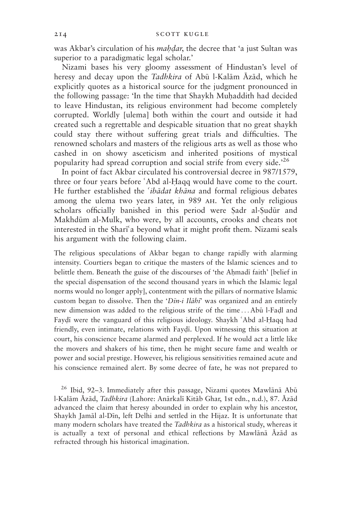was Akbar's circulation of his *mahdar*, the decree that 'a just Sultan was superior to a paradigmatic legal scholar.'

Nizami bases his very gloomy assessment of Hindustan's level of heresy and decay upon the Tadhkira of Abū l-Kalām Āzād, which he explicitly quotes as a historical source for the judgment pronounced in the following passage: 'In the time that Shaykh Muḥaddith had decided to leave Hindustan, its religious environment had become completely corrupted. Worldly [ulema] both within the court and outside it had created such a regrettable and despicable situation that no great shaykh could stay there without suffering great trials and difficulties. The renowned scholars and masters of the religious arts as well as those who cashed in on showy asceticism and inherited positions of mystical popularity had spread corruption and social strife from every side.'<sup>26</sup>

In point of fact Akbar circulated his controversial decree in 987/1579, three or four years before 'Abd al-Haqq would have come to the court. He further established the 'ibādat khāna and formal religious debates among the ulema two years later, in 989 ah. Yet the only religious scholars officially banished in this period were Sadr al-Sudūr and Makhdūm al-Mulk, who were, by all accounts, crooks and cheats not interested in the Shari'a beyond what it might profit them. Nizami seals his argument with the following claim.

The religious speculations of Akbar began to change rapidly with alarming intensity. Courtiers began to critique the masters of the Islamic sciences and to belittle them. Beneath the guise of the discourses of 'the Ahmadī faith' [belief in the special dispensation of the second thousand years in which the Islamic legal norms would no longer apply], contentment with the pillars of normative Islamic custom began to dissolve. Then the ' $D\bar{i}n-i$  Il $\bar{a}h\bar{i}$ ' was organized and an entirely new dimension was added to the religious strife of the time ... Abu l-Fadl and Faydī were the vanguard of this religious ideology. Shaykh 'Abd al-Haqq had friendly, even intimate, relations with Faydī. Upon witnessing this situation at court, his conscience became alarmed and perplexed. If he would act a little like the movers and shakers of his time, then he might secure fame and wealth or power and social prestige. However, his religious sensitivities remained acute and his conscience remained alert. By some decree of fate, he was not prepared to

<sup>26</sup> Ibid, 92-3. Immediately after this passage, Nizami quotes Mawlānā Abū l-Kalām Āzād, Tadhkira (Lahore: Anārkalī Kitāb Ghar, 1st edn., n.d.), 87. Āzād advanced the claim that heresy abounded in order to explain why his ancestor, Shaykh Jamāl al-Dīn, left Delhi and settled in the Hijaz. It is unfortunate that many modern scholars have treated the Tadhkira as a historical study, whereas it is actually a text of personal and ethical reflections by Mawlānā Āzād as refracted through his historical imagination.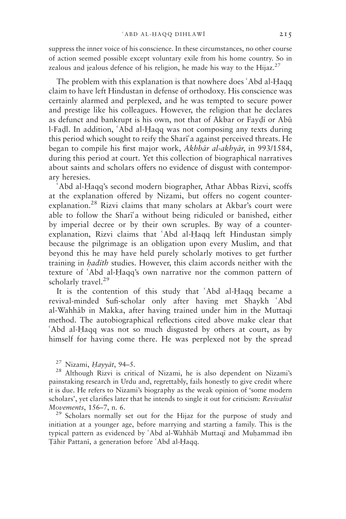suppress the inner voice of his conscience. In these circumstances, no other course of action seemed possible except voluntary exile from his home country. So in zealous and jealous defence of his religion, he made his way to the Hijaz.<sup>27</sup>

The problem with this explanation is that nowhere does 'Abd al-Hagq claim to have left Hindustan in defense of orthodoxy. His conscience was certainly alarmed and perplexed, and he was tempted to secure power and prestige like his colleagues. However, the religion that he declares as defunct and bankrupt is his own, not that of Akbar or Faydi or Abū l-Fadl. In addition, 'Abd al-Haqq was not composing any texts during this period which sought to reify the Shari'a against perceived threats. He began to compile his first major work, Akhbār al-akhyār, in 993/1584, during this period at court. Yet this collection of biographical narratives about saints and scholars offers no evidence of disgust with contemporary heresies.

Abd al-Haqq's second modern biographer, Athar Abbas Rizvi, scoffs at the explanation offered by Nizami, but offers no cogent counterexplanation.<sup>28</sup> Rizvi claims that many scholars at Akbar's court were able to follow the Shari'a without being ridiculed or banished, either by imperial decree or by their own scruples. By way of a counterexplanation, Rizvi claims that 'Abd al-Haqq left Hindustan simply because the pilgrimage is an obligation upon every Muslim, and that beyond this he may have held purely scholarly motives to get further training in *hadith* studies. However, this claim accords neither with the texture of 'Abd al-Haqq's own narrative nor the common pattern of scholarly travel.<sup>29</sup>

It is the contention of this study that 'Abd al-Haqq became a revival-minded Sufi-scholar only after having met Shaykh 'Abd al-Wahhāb in Makka, after having trained under him in the Muttaqi method. The autobiographical reflections cited above make clear that Abd al-Haqq was not so much disgusted by others at court, as by himself for having come there. He was perplexed not by the spread

<sup>27</sup> Nizami, *Hayyāt*, 94–5.<br><sup>28</sup> Although Rizvi is critical of Nizami, he is also dependent on Nizami's painstaking research in Urdu and, regrettably, fails honestly to give credit where it is due. He refers to Nizami's biography as the weak opinion of 'some modern scholars', yet clarifies later that he intends to single it out for criticism: Revivalist Movements, 156–7, n. 6.<br><sup>29</sup> Scholars normally set out for the Hijaz for the purpose of study and

initiation at a younger age, before marrying and starting a family. This is the typical pattern as evidenced by 'Abd al-Wahhāb Muttaqī and Muḥammad ibn Tāhir Pattanī, a generation before 'Abd al-Haqq.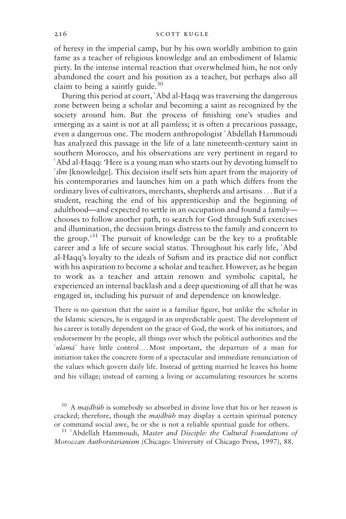of heresy in the imperial camp, but by his own worldly ambition to gain fame as a teacher of religious knowledge and an embodiment of Islamic piety. In the intense internal reaction that overwhelmed him, he not only abandoned the court and his position as a teacher, but perhaps also all claim to being a saintly guide. $30$ 

During this period at court, 'Abd al-Haqq was traversing the dangerous zone between being a scholar and becoming a saint as recognized by the society around him. But the process of finishing one's studies and emerging as a saint is not at all painless; it is often a precarious passage, even a dangerous one. The modern anthropologist 'Abdellah Hammoudi has analyzed this passage in the life of a late nineteenth-century saint in southern Morocco, and his observations are very pertinent in regard to Abd al-Haqq: 'Here is a young man who starts out by devoting himself to  $'$ ilm [knowledge]. This decision itself sets him apart from the majority of his contemporaries and launches him on a path which differs from the ordinary lives of cultivators, merchants, shepherds and artisans... But if a student, reaching the end of his apprenticeship and the beginning of adulthood—and expected to settle in an occupation and found a family chooses to follow another path, to search for God through Sufi exercises and illumination, the decision brings distress to the family and concern to the group.<sup>31</sup> The pursuit of knowledge can be the key to a profitable career and a life of secure social status. Throughout his early life, 'Abd al-Eaqq's loyalty to the ideals of Sufism and its practice did not conflict with his aspiration to become a scholar and teacher. However, as he began to work as a teacher and attain renown and symbolic capital, he experienced an internal backlash and a deep questioning of all that he was engaged in, including his pursuit of and dependence on knowledge.

There is no question that the saint is a familiar figure, but unlike the scholar in the Islamic sciences, he is engaged in an unpredictable quest. The development of his career is totally dependent on the grace of God, the work of his initiators, and endorsement by the people, all things over which the political authorities and the 'ulamā' have little control...Most important, the departure of a man for initiation takes the concrete form of a spectacular and immediate renunciation of the values which govern daily life. Instead of getting married he leaves his home and his village; instead of earning a living or accumulating resources he scorns

 $30\,$  A *majdhūb* is somebody so absorbed in divine love that his or her reason is cracked; therefore, though the *majdhūb* may display a certain spiritual potency or command social awe, he or she is not a reliable spiritual guide for others.<br><sup>31</sup> 'Abdellah Hammoudi, *Master and Disciple: the Cultural Foundations of* 

Moroccan Authoritarianism (Chicago: University of Chicago Press, 1997), 88.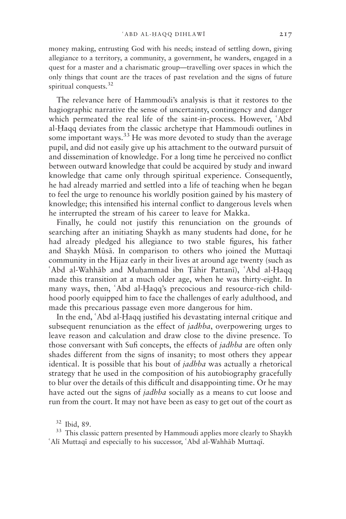money making, entrusting God with his needs; instead of settling down, giving allegiance to a territory, a community, a government, he wanders, engaged in a quest for a master and a charismatic group—travelling over spaces in which the only things that count are the traces of past revelation and the signs of future spiritual conquests.<sup>32</sup>

The relevance here of Hammoudi's analysis is that it restores to the hagiographic narrative the sense of uncertainty, contingency and danger which permeated the real life of the saint-in-process. However, 'Abd al-Eaqq deviates from the classic archetype that Hammoudi outlines in some important ways.<sup>33</sup> He was more devoted to study than the average pupil, and did not easily give up his attachment to the outward pursuit of and dissemination of knowledge. For a long time he perceived no conflict between outward knowledge that could be acquired by study and inward knowledge that came only through spiritual experience. Consequently, he had already married and settled into a life of teaching when he began to feel the urge to renounce his worldly position gained by his mastery of knowledge; this intensified his internal conflict to dangerous levels when he interrupted the stream of his career to leave for Makka.

Finally, he could not justify this renunciation on the grounds of searching after an initiating Shaykh as many students had done, for he had already pledged his allegiance to two stable figures, his father and Shaykh Mūsā. In comparison to others who joined the Muttaqi community in the Hijaz early in their lives at around age twenty (such as 'Abd al-Wahhāb and Muḥammad ibn Țāhir Pattanī), 'Abd al-Ḥaqq made this transition at a much older age, when he was thirty-eight. In many ways, then, 'Abd al-Haqq's precocious and resource-rich childhood poorly equipped him to face the challenges of early adulthood, and made this precarious passage even more dangerous for him.

In the end, Abd al-Hagq justified his devastating internal critique and subsequent renunciation as the effect of *jadhba*, overpowering urges to leave reason and calculation and draw close to the divine presence. To those conversant with Sufi concepts, the effects of jadhba are often only shades different from the signs of insanity; to most others they appear identical. It is possible that his bout of *jadhba* was actually a rhetorical strategy that he used in the composition of his autobiography gracefully to blur over the details of this difficult and disappointing time. Or he may have acted out the signs of *jadhba* socially as a means to cut loose and run from the court. It may not have been as easy to get out of the court as

 $^{32}$  Ibid, 89. 33 This classic pattern presented by Hammoudi applies more clearly to Shaykh 'Alī Muttaqī and especially to his successor, 'Abd al-Wahhāb Muttaqī.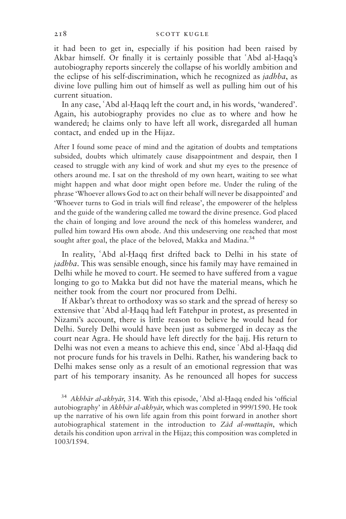it had been to get in, especially if his position had been raised by Akbar himself. Or finally it is certainly possible that 'Abd al-Haqq's autobiography reports sincerely the collapse of his worldly ambition and the eclipse of his self-discrimination, which he recognized as jadhba, as divine love pulling him out of himself as well as pulling him out of his current situation.

In any case, 'Abd al-Haqq left the court and, in his words, 'wandered'. Again, his autobiography provides no clue as to where and how he wandered; he claims only to have left all work, disregarded all human contact, and ended up in the Hijaz.

After I found some peace of mind and the agitation of doubts and temptations subsided, doubts which ultimately cause disappointment and despair, then I ceased to struggle with any kind of work and shut my eyes to the presence of others around me. I sat on the threshold of my own heart, waiting to see what might happen and what door might open before me. Under the ruling of the phrase 'Whoever allows God to act on their behalf will never be disappointed' and 'Whoever turns to God in trials will find release', the empowerer of the helpless and the guide of the wandering called me toward the divine presence. God placed the chain of longing and love around the neck of this homeless wanderer, and pulled him toward His own abode. And this undeserving one reached that most sought after goal, the place of the beloved, Makka and Madina.<sup>34</sup>

In reality, Abd al-Haqq first drifted back to Delhi in his state of jadhba. This was sensible enough, since his family may have remained in Delhi while he moved to court. He seemed to have suffered from a vague longing to go to Makka but did not have the material means, which he neither took from the court nor procured from Delhi.

If Akbar's threat to orthodoxy was so stark and the spread of heresy so extensive that 'Abd al-Haqq had left Fatehpur in protest, as presented in Nizami's account, there is little reason to believe he would head for Delhi. Surely Delhi would have been just as submerged in decay as the court near Agra. He should have left directly for the hajj. His return to Delhi was not even a means to achieve this end, since 'Abd al-Hagq did not procure funds for his travels in Delhi. Rather, his wandering back to Delhi makes sense only as a result of an emotional regression that was part of his temporary insanity. As he renounced all hopes for success

 $34$  Akhbār al-akhyār, 314. With this episode, 'Abd al-Haqq ended his 'official autobiography' in Akhbār al-akhyār, which was completed in 999/1590. He took up the narrative of his own life again from this point forward in another short autobiographical statement in the introduction to  $Z\bar{a}d$  al-muttaqin, which details his condition upon arrival in the Hijaz; this composition was completed in 1003/1594.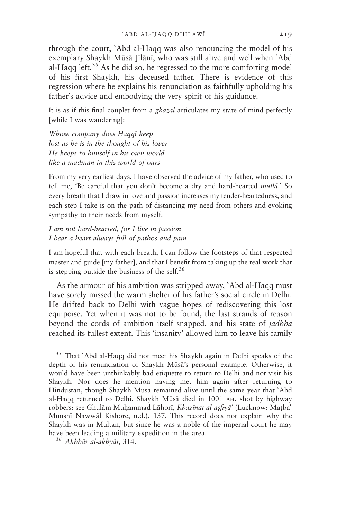through the court, 'Abd al-Haqq was also renouncing the model of his exemplary Shaykh Mūsā Jīlānī, who was still alive and well when 'Abd al-Hagq left.<sup>35</sup> As he did so, he regressed to the more comforting model of his first Shaykh, his deceased father. There is evidence of this regression where he explains his renunciation as faithfully upholding his father's advice and embodying the very spirit of his guidance.

It is as if this final couplet from a *ghazal* articulates my state of mind perfectly [while I was wandering]:

Whose company does Haqqi keep lost as he is in the thought of his lover He keeps to himself in his own world like a madman in this world of ours

From my very earliest days, I have observed the advice of my father, who used to tell me, 'Be careful that you don't become a dry and hard-hearted  $mull\bar{a}$ .' So every breath that I draw in love and passion increases my tender-heartedness, and each step I take is on the path of distancing my need from others and evoking sympathy to their needs from myself.

I am not hard-hearted, for I live in passion I bear a heart always full of pathos and pain

I am hopeful that with each breath, I can follow the footsteps of that respected master and guide [my father], and that I benefit from taking up the real work that is stepping outside the business of the self.<sup>36</sup>

As the armour of his ambition was stripped away, 'Abd al-Hagq must have sorely missed the warm shelter of his father's social circle in Delhi. He drifted back to Delhi with vague hopes of rediscovering this lost equipoise. Yet when it was not to be found, the last strands of reason beyond the cords of ambition itself snapped, and his state of jadhba reached its fullest extent. This 'insanity' allowed him to leave his family

<sup>35</sup> That 'Abd al-Haqq did not meet his Shaykh again in Delhi speaks of the depth of his renunciation of Shaykh Mūsā's personal example. Otherwise, it would have been unthinkably bad etiquette to return to Delhi and not visit his Shaykh. Nor does he mention having met him again after returning to Hindustan, though Shaykh Mūsā remained alive until the same year that 'Abd al-Haqq returned to Delhi. Shaykh Mūsā died in 1001 AH, shot by highway robbers: see Ghulām Muhammad Lāhorī, Khazīnat al-asfiyā<sup>,</sup> (Lucknow: Matba<sup>6</sup> Munshī Nawwāl Kishore, n.d.), 137. This record does not explain why the Shaykh was in Multan, but since he was a noble of the imperial court he may have been leading a military expedition in the area.<br><sup>36</sup> Akhbār al-akhyār, 314.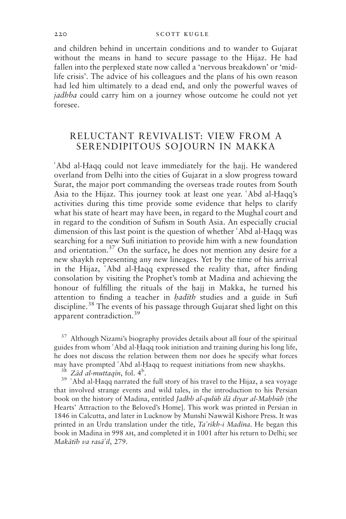### 220 SCOTT KUGLE

and children behind in uncertain conditions and to wander to Gujarat without the means in hand to secure passage to the Hijaz. He had fallen into the perplexed state now called a 'nervous breakdown' or 'midlife crisis'. The advice of his colleagues and the plans of his own reason had led him ultimately to a dead end, and only the powerful waves of jadhba could carry him on a journey whose outcome he could not yet foresee.

# RELUCTANT REVIVALIST: VIEW FROM A SERENDIPITOUS SOJOURN IN MAKKA

'Abd al-Haqq could not leave immediately for the hajj. He wandered overland from Delhi into the cities of Gujarat in a slow progress toward Surat, the major port commanding the overseas trade routes from South Asia to the Hijaz. This journey took at least one year. 'Abd al-Haqq's activities during this time provide some evidence that helps to clarify what his state of heart may have been, in regard to the Mughal court and in regard to the condition of Sufism in South Asia. An especially crucial dimension of this last point is the question of whether 'Abd al-Haqq was searching for a new Sufi initiation to provide him with a new foundation and orientation.37 On the surface, he does not mention any desire for a new shaykh representing any new lineages. Yet by the time of his arrival in the Hijaz, 'Abd al-Haqq expressed the reality that, after finding consolation by visiting the Prophet's tomb at Madina and achieving the honour of fulfilling the rituals of the hajj in Makka, he turned his attention to finding a teacher in *hadith* studies and a guide in Sufi discipline.<sup>38</sup> The events of his passage through Gujarat shed light on this apparent contradiction.<sup>39</sup>

<sup>37</sup> Although Nizami's biography provides details about all four of the spiritual guides from whom 'Abd al-Haqq took initiation and training during his long life, he does not discuss the relation between them nor does he specify what forces may have prompted 'Abd al-Haqq to request initiations from new shaykhs.<br><sup>38</sup> Zād al-muttaqīn, fol. 4<sup>b</sup>.

<sup>39</sup> 'Abd al-Haqq narrated the full story of his travel to the Hijaz, a sea voyage that involved strange events and wild tales, in the introduction to his Persian book on the history of Madina, entitled Jadhb al-qulūb ilā diyar al-Mahbūb (the Hearts' Attraction to the Beloved's Home]. This work was printed in Persian in 1846 in Calcutta, and later in Lucknow by Munshī Nawwāl Kishore Press. It was printed in an Urdu translation under the title,  $Ta'rikh-i$  Madina. He began this book in Madina in 998 ah, and completed it in 1001 after his return to Delhi; see Makātīb va rasā'il, 279.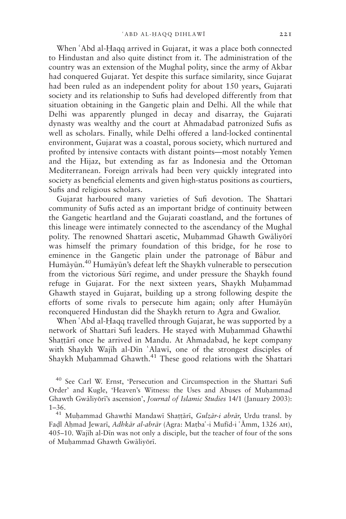When 'Abd al-Haqq arrived in Gujarat, it was a place both connected to Hindustan and also quite distinct from it. The administration of the country was an extension of the Mughal polity, since the army of Akbar had conquered Gujarat. Yet despite this surface similarity, since Gujarat had been ruled as an independent polity for about 150 years, Gujarati society and its relationship to Sufis had developed differently from that situation obtaining in the Gangetic plain and Delhi. All the while that Delhi was apparently plunged in decay and disarray, the Gujarati dynasty was wealthy and the court at Ahmadabad patronized Sufis as well as scholars. Finally, while Delhi offered a land-locked continental environment, Gujarat was a coastal, porous society, which nurtured and profited by intensive contacts with distant points—most notably Yemen and the Hijaz, but extending as far as Indonesia and the Ottoman Mediterranean. Foreign arrivals had been very quickly integrated into society as beneficial elements and given high-status positions as courtiers, Sufis and religious scholars.

Gujarat harboured many varieties of Sufi devotion. The Shattari community of Sufis acted as an important bridge of continuity between the Gangetic heartland and the Gujarati coastland, and the fortunes of this lineage were intimately connected to the ascendancy of the Mughal polity. The renowned Shattari ascetic, Muhammad Ghawth Gwāliyōrī was himself the primary foundation of this bridge, for he rose to eminence in the Gangetic plain under the patronage of Babur and Humāyūn.<sup>40</sup> Humāyūn's defeat left the Shaykh vulnerable to persecution from the victorious Sūrī regime, and under pressure the Shaykh found refuge in Gujarat. For the next sixteen years, Shaykh Muhammad Ghawth stayed in Gujarat, building up a strong following despite the efforts of some rivals to persecute him again; only after Humāyūn reconquered Hindustan did the Shaykh return to Agra and Gwalior.

When 'Abd al-Hagq travelled through Gujarat, he was supported by a network of Shattari Sufi leaders. He stayed with Muhammad Ghawthī Shattārī once he arrived in Mandu. At Ahmadabad, he kept company with Shaykh Wajih al-Din 'Alawi, one of the strongest disciples of Shaykh Muhammad Ghawth.<sup>41</sup> These good relations with the Shattari

<sup>40</sup> See Carl W. Ernst, 'Persecution and Circumspection in the Shattari Sufi Order' and Kugle, 'Heaven's Witness: the Uses and Abuses of Muhammad Ghawth Gwāliyōrī's ascension', Journal of Islamic Studies 14/1 (January 2003): 1–36.<br><sup>41</sup> Muhammad Ghawthī Mandawī Shaṭṭārī, G*ulzār-i abrār*, Urdu transl. by

Fadl Ahmad Jewarī, Adhkār al-abrār (Agra: Mațba'-i Mufīd-i 'Āmm, 1326 AH), 405–10. Wajīh al-Dīn was not only a disciple, but the teacher of four of the sons of Muhammad Ghawth Gwāliyōrī.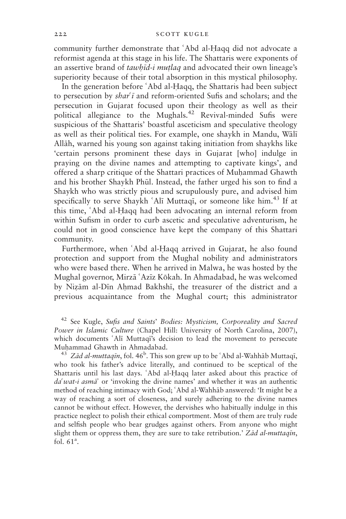community further demonstrate that 'Abd al-Haqq did not advocate a reformist agenda at this stage in his life. The Shattaris were exponents of an assertive brand of *tawhid-i mutlaq* and advocated their own lineage's superiority because of their total absorption in this mystical philosophy.

In the generation before 'Abd al-Haqq, the Shattaris had been subject to persecution by  $\text{shar}^2\bar{i}$  and reform-oriented Sufis and scholars; and the persecution in Gujarat focused upon their theology as well as their political allegiance to the Mughals.<sup>42</sup> Revival-minded Sufis were suspicious of the Shattaris' boastful asceticism and speculative theology as well as their political ties. For example, one shaykh in Mandu, Wali Allāh, warned his young son against taking initiation from shaykhs like 'certain persons prominent these days in Gujarat [who] indulge in praying on the divine names and attempting to captivate kings', and offered a sharp critique of the Shattari practices of Muhammad Ghawth and his brother Shaykh Phūl. Instead, the father urged his son to find a Shaykh who was strictly pious and scrupulously pure, and advised him specifically to serve Shaykh 'Alī Muttaqī, or someone like him.<sup>43</sup> If at this time, 'Abd al-Haqq had been advocating an internal reform from within Sufism in order to curb ascetic and speculative adventurism, he could not in good conscience have kept the company of this Shattari community.

Furthermore, when 'Abd al-Haqq arrived in Gujarat, he also found protection and support from the Mughal nobility and administrators who were based there. When he arrived in Malwa, he was hosted by the Mughal governor, Mirzā 'Azīz Kōkah. In Ahmadabad, he was welcomed by Nizām al-Dīn Aḥmad Bakhshī, the treasurer of the district and a previous acquaintance from the Mughal court; this administrator

See Kugle, Sufis and Saints' Bodies: Mysticism, Corporeality and Sacred Power in Islamic Culture (Chapel Hill: University of North Carolina, 2007), which documents 'Alī Muttaqī's decision to lead the movement to persecute Muḥammad Ghawth in Ahmadabad.<br><sup>43</sup> Zād al-*muttaqīn*, fol. 46<sup>b</sup>. This son grew up to be ʿAbd al-Wahhāb Muttaqī,

who took his father's advice literally, and continued to be sceptical of the Shattaris until his last days. 'Abd al-Hagq later asked about this practice of  $da' wat-i asm\bar{a}$  or 'invoking the divine names' and whether it was an authentic method of reaching intimacy with God; 'Abd al-Wahhāb answered: 'It might be a way of reaching a sort of closeness, and surely adhering to the divine names cannot be without effect. However, the dervishes who habitually indulge in this practice neglect to polish their ethical comportment. Most of them are truly rude and selfish people who bear grudges against others. From anyone who might slight them or oppress them, they are sure to take retribution.' Zād al-muttaqīn, fol.  $61^a$ .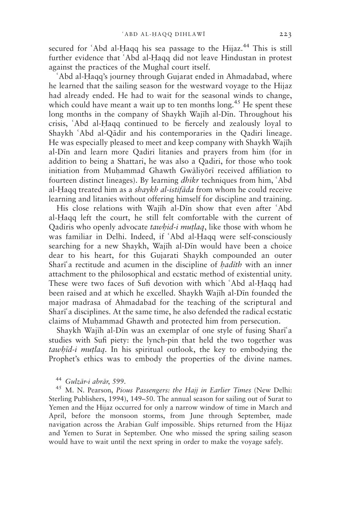secured for 'Abd al-Haqq his sea passage to the Hijaz.<sup>44</sup> This is still further evidence that 'Abd al-Haqq did not leave Hindustan in protest against the practices of the Mughal court itself.

'Abd al-Haqq's journey through Gujarat ended in Ahmadabad, where he learned that the sailing season for the westward voyage to the Hijaz had already ended. He had to wait for the seasonal winds to change, which could have meant a wait up to ten months  $\log$ <sup>45</sup>. He spent these long months in the company of Shaykh Wajih al-Din. Throughout his crisis, 6Abd al-Eaqq continued to be fiercely and zealously loyal to Shaykh 'Abd al-Qādir and his contemporaries in the Qadiri lineage. He was especially pleased to meet and keep company with Shaykh Wajih al-Din and learn more Qadiri litanies and prayers from him (for in addition to being a Shattari, he was also a Qadiri, for those who took initiation from Muhammad Ghawth Gwaliyori received affiliation to fourteen distinct lineages). By learning *dhikr* techniques from him, 'Abd al-Haqq treated him as a shaykh al-istif $\bar{a}da$  from whom he could receive learning and litanies without offering himself for discipline and training.

His close relations with Wajīh al-Dīn show that even after 'Abd al-Eaqq left the court, he still felt comfortable with the current of Qadiris who openly advocate *tawhid-i mutlaq*, like those with whom he was familiar in Delhi. Indeed, if 'Abd al-Hagq were self-consciously searching for a new Shaykh, Wajih al-Din would have been a choice dear to his heart, for this Gujarati Shaykh compounded an outer Shari<sup>6</sup>a rectitude and acumen in the discipline of *hadith* with an inner attachment to the philosophical and ecstatic method of existential unity. These were two faces of Sufi devotion with which 'Abd al-Haqq had been raised and at which he excelled. Shaykh Wajih al-Din founded the major madrasa of Ahmadabad for the teaching of the scriptural and Shari<sup>6</sup>a disciplines. At the same time, he also defended the radical ecstatic claims of Muhammad Ghawth and protected him from persecution.

Shaykh Wajih al-Din was an exemplar of one style of fusing Shari'a studies with Sufi piety: the lynch-pin that held the two together was tawhid-i mutlaq. In his spiritual outlook, the key to embodying the Prophet's ethics was to embody the properties of the divine names.

<sup>44</sup> Gulzār-i abrār, 599.<br><sup>45</sup> M. N. Pearson, *Pious Passengers: the Hajj in Earlier Times* (New Delhi: Sterling Publishers, 1994), 149–50. The annual season for sailing out of Surat to Yemen and the Hijaz occurred for only a narrow window of time in March and April, before the monsoon storms, from June through September, made navigation across the Arabian Gulf impossible. Ships returned from the Hijaz and Yemen to Surat in September. One who missed the spring sailing season would have to wait until the next spring in order to make the voyage safely.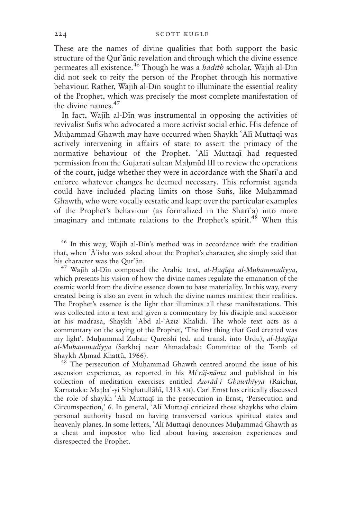These are the names of divine qualities that both support the basic structure of the Qur'anic revelation and through which the divine essence permeates all existence.<sup>46</sup> Though he was a *hadith* scholar, Wajih al-Din did not seek to reify the person of the Prophet through his normative behaviour. Rather, Wajīh al-Dīn sought to illuminate the essential reality of the Prophet, which was precisely the most complete manifestation of the divine names.<sup>47</sup>

In fact, Wajih al-Din was instrumental in opposing the activities of revivalist Sufis who advocated a more activist social ethic. His defence of Muhammad Ghawth may have occurred when Shaykh 'Ali Muttaqi was actively intervening in affairs of state to assert the primacy of the normative behaviour of the Prophet. 'Ali Muttaqi had requested permission from the Gujarati sultan Mahmūd III to review the operations of the court, judge whether they were in accordance with the Shari'a and enforce whatever changes he deemed necessary. This reformist agenda could have included placing limits on those Sufis, like Muhammad Ghawth, who were vocally ecstatic and leapt over the particular examples of the Prophet's behaviour (as formalized in the Shari'a) into more imaginary and intimate relations to the Prophet's spirit.<sup>48</sup> When this

 $46$  In this way, Wajih al-Din's method was in accordance with the tradition that, when  $\hat{A}$  isha was asked about the Prophet's character, she simply said that his character was the Qur'ān.<br><sup>47</sup> Wajīh al-Dīn composed the Arabic text, *al-Ḥaqīqa al-Muḥammadiyya*,

which presents his vision of how the divine names regulate the emanation of the cosmic world from the divine essence down to base materiality. In this way, every created being is also an event in which the divine names manifest their realities. The Prophet's essence is the light that illumines all these manifestations. This was collected into a text and given a commentary by his disciple and successor at his madrasa, Shaykh 'Abd al-'Azīz Khālidī. The whole text acts as a commentary on the saying of the Prophet, 'The first thing that God created was my light'. Muhammad Zubair Qureishi (ed. and transl. into Urdu), al-Haqiqa al-Muhammadiyya (Sarkhej near Ahmadabad: Committee of the Tomb of Shaykh Ahmad Khattū, 1966). <sup>48</sup> The persecution of Muhammad Ghawth centred around the issue of his

ascension experience, as reported in his  $M_i^r \bar{r} a j$ -nama and published in his collection of meditation exercises entitled Awrād-i Ghawthīyya (Raichur, Karnataka: Mațba<sup>c</sup>-yi Sibghatullāhī, 1313 AH). Carl Ernst has critically discussed the role of shaykh 6Ali Muttaq; in the persecution in Ernst, 'Persecution and Circumspection,' 6. In general, 'Alī Muttaqī criticized those shaykhs who claim personal authority based on having transversed various spiritual states and heavenly planes. In some letters, 'Alī Muttaqī denounces Muhammad Ghawth as a cheat and impostor who lied about having ascension experiences and disrespected the Prophet.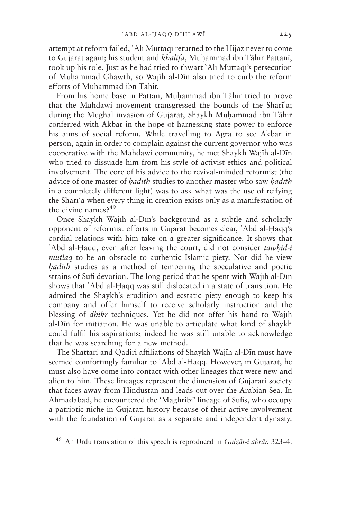attempt at reform failed, 'Alī Muttaqī returned to the Hijaz never to come to Gujarat again; his student and khalīfa, Muhammad ibn Tāhir Pattanī, took up his role. Just as he had tried to thwart 'Ali Muttaqi's persecution of Muhammad Ghawth, so Wajih al-Din also tried to curb the reform efforts of Muhammad ibn Tāhir.

From his home base in Pattan, Muhammad ibn Tāhir tried to prove that the Mahdawi movement transgressed the bounds of the Shari'a; during the Mughal invasion of Gujarat, Shaykh Muhammad ibn Tāhir conferred with Akbar in the hope of harnessing state power to enforce his aims of social reform. While travelling to Agra to see Akbar in person, again in order to complain against the current governor who was cooperative with the Mahdawi community, he met Shaykh Wajih al-Din who tried to dissuade him from his style of activist ethics and political involvement. The core of his advice to the revival-minded reformist (the advice of one master of hadith studies to another master who saw hadith in a completely different light) was to ask what was the use of reifying the Shari<sup>6</sup>a when every thing in creation exists only as a manifestation of the divine names?<sup>49</sup>

Once Shaykh Wajīh al-Dīn's background as a subtle and scholarly opponent of reformist efforts in Gujarat becomes clear, 'Abd al-Haqq's cordial relations with him take on a greater significance. It shows that 'Abd al-Haqq, even after leaving the court, did not consider  $tawbid-i$ mutlaq to be an obstacle to authentic Islamic piety. Nor did he view hadith studies as a method of tempering the speculative and poetic strains of Sufi devotion. The long period that he spent with Wajih al-Din shows that 'Abd al-Hagq was still dislocated in a state of transition. He admired the Shaykh's erudition and ecstatic piety enough to keep his company and offer himself to receive scholarly instruction and the blessing of *dhikr* techniques. Yet he did not offer his hand to Wajih al-Din for initiation. He was unable to articulate what kind of shaykh could fulfil his aspirations; indeed he was still unable to acknowledge that he was searching for a new method.

The Shattari and Qadiri affiliations of Shaykh Wajīh al-Dīn must have seemed comfortingly familiar to 'Abd al-Haqq. However, in Gujarat, he must also have come into contact with other lineages that were new and alien to him. These lineages represent the dimension of Gujarati society that faces away from Hindustan and leads out over the Arabian Sea. In Ahmadabad, he encountered the 'Maghribi' lineage of Sufis, who occupy a patriotic niche in Gujarati history because of their active involvement with the foundation of Gujarat as a separate and independent dynasty.

<sup>49</sup> An Urdu translation of this speech is reproduced in Gulzār-i abrār, 323–4.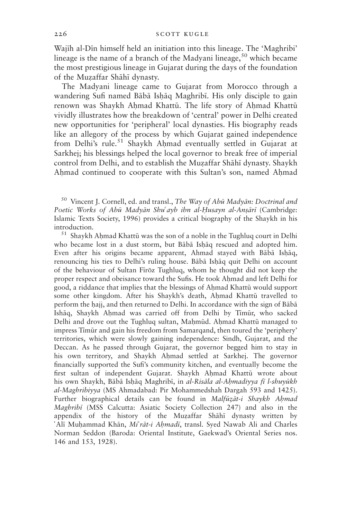Wajīh al-Dīn himself held an initiation into this lineage. The 'Maghribi' lineage is the name of a branch of the Madyani lineage, $50$  which became the most prestigious lineage in Gujarat during the days of the foundation of the Muzaffar Shāhī dynasty.

The Madyani lineage came to Gujarat from Morocco through a wandering Sufi named Bābā Ishāq Maghribī. His only disciple to gain renown was Shaykh Ahmad Khattū. The life story of Ahmad Khattū vividly illustrates how the breakdown of 'central' power in Delhi created new opportunities for 'peripheral' local dynasties. His biography reads like an allegory of the process by which Gujarat gained independence from Delhi's rule.<sup>51</sup> Shaykh Ahmad eventually settled in Gujarat at Sarkhej; his blessings helped the local governor to break free of imperial control from Delhi, and to establish the Muzaffar Shāhī dynasty. Shaykh AAmad continued to cooperate with this Sultan's son, named AAmad

 $50$  Vincent J. Cornell, ed. and transl., The Way of Abū Madyān: Doctrinal and Poetic Works of Abū Madyān Shu'ayb ibn al-Husayn al-Ansārī (Cambridge: Islamic Texts Society, 1996) provides a critical biography of the Shaykh in his introduction.<br>  $51$  Shaykh Ahmad Khattū was the son of a noble in the Tughluq court in Delhi

who became lost in a dust storm, but Bābā Ishāq rescued and adopted him. Even after his origins became apparent, Ahmad stayed with Bābā Ishāq, renouncing his ties to Delhi's ruling house. Bābā Ishāq quit Delhi on account of the behaviour of Sultan Firōz Tughluq, whom he thought did not keep the proper respect and obeisance toward the Sufis. He took AAmad and left Delhi for good, a riddance that implies that the blessings of Ahmad Khattū would support some other kingdom. After his Shaykh's death, Ahmad Khattū travelled to perform the hajj, and then returned to Delhi. In accordance with the sign of Bābā Ishaq, Shaykh Ahmad was carried off from Delhi by Timur, who sacked Delhi and drove out the Tughluq sultan, Mahmūd. Ahmad Khattū managed to impress Timūr and gain his freedom from Samarqand, then toured the 'periphery' territories, which were slowly gaining independence: Sindh, Gujarat, and the Deccan. As he passed through Gujarat, the governor begged him to stay in his own territory, and Shaykh AAmad settled at Sarkhej. The governor financially supported the Sufi's community kitchen, and eventually become the first sultan of independent Gujarat. Shaykh Ahmad Khattū wrote about his own Shaykh, Bābā Ishāq Maghribī, in al-Risāla al-Ahmadiyya fī l-shuyūkh al-Maghribiyya (MS Ahmadabad: Pir Mohammedshah Dargah 593 and 1425). Further biographical details can be found in Malfūzāt-i Shaykh Ahmad Maghrib; (MSS Calcutta: Asiatic Society Collection 247) and also in the appendix of the history of the Muzaffar Shahi dynasty written by 'Alī Muḥammad Khān, Mi'rāt-i Ahmadī, transl. Syed Nawab Ali and Charles Norman Seddon (Baroda: Oriental Institute, Gaekwad's Oriental Series nos. 146 and 153, 1928).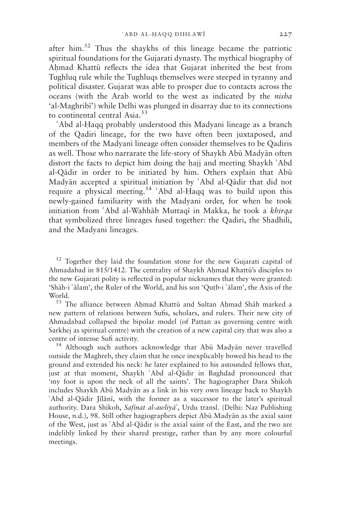after him.52 Thus the shaykhs of this lineage became the patriotic spiritual foundations for the Gujarati dynasty. The mythical biography of Ahmad Khattū reflects the idea that Gujarat inherited the best from Tughluq rule while the Tughluqs themselves were steeped in tyranny and political disaster. Gujarat was able to prosper due to contacts across the oceans (with the Arab world to the west as indicated by the nisba 'al-Maghribi') while Delhi was plunged in disarray due to its connections to continental central Asia.<sup>53</sup>

6Abd al-Eaqq probably understood this Madyani lineage as a branch of the Qadiri lineage, for the two have often been juxtaposed, and members of the Madyani lineage often consider themselves to be Qadiris as well. Those who narrarate the life-story of Shaykh Abū Madyān often distort the facts to depict him doing the hajj and meeting Shaykh 'Abd al-Qādir in order to be initiated by him. Others explain that Abū Madyān accepted a spiritual initiation by 'Abd al-Qādir that did not require a physical meeting.<sup>54</sup>  $\Delta$ bd al-Haqq was to build upon this newly-gained familiarity with the Madyani order, for when he took initiation from 'Abd al-Wahhāb Muttaqī in Makka, he took a khirqa that symbolized three lineages fused together: the Qadiri, the Shadhili, and the Madyani lineages.

<sup>52</sup> Together they laid the foundation stone for the new Gujarati capital of Ahmadabad in 815/1412. The centrality of Shaykh Ahmad Khattū's disciples to the new Gujarati polity is reflected in popular nicknames that they were granted: 'Shāh-i 'ālam', the Ruler of the World, and his son 'Qutb-i 'ālam', the Axis of the

World.<br><sup>53</sup> The alliance between Ahmad Khattū and Sultan Ahmad Shāh marked a new pattern of relations between Sufis, scholars, and rulers. Their new city of Ahmadabad collapsed the bipolar model (of Pattan as governing centre with Sarkhej as spiritual centre) with the creation of a new capital city that was also a centre of intense Sufi activity.<br>
<sup>54</sup> Although such authors acknowledge that Abū Madyān never travelled

outside the Maghreb, they claim that he once inexplicably bowed his head to the ground and extended his neck: he later explained to his astounded fellows that, just at that moment, Shaykh 'Abd al-Qādir in Baghdad pronounced that 'my foot is upon the neck of all the saints'. The hagiographer Dara Shikoh includes Shaykh Abū Madyān as a link in his very own lineage back to Shaykh 'Abd al-Qādir Jīlānī, with the former as a successor to the later's spiritual authority. Dara Shikoh, Safinat al-awliya<sup>2</sup>, Urdu transl. (Delhi: Naz Publishing House, n.d.), 98. Still other hagiographers depict Abū Madyān as the axial saint of the West, just as 'Abd al-Qādir is the axial saint of the East, and the two are indelibly linked by their shared prestige, rather than by any more colourful meetings.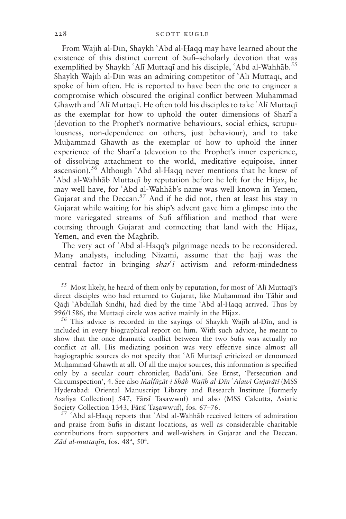From Wajīh al-Dīn, Shaykh 'Abd al-Ḥaqq may have learned about the existence of this distinct current of Sufi–scholarly devotion that was exemplified by Shaykh 'Alī Muttaqī and his disciple, 'Abd al-Wahhāb.<sup>55</sup> Shaykh Wajīh al-Dīn was an admiring competitor of 'Alī Muttaqī, and spoke of him often. He is reported to have been the one to engineer a compromise which obscured the original conflict between Muhammad Ghawth and 'Ali Muttaqi. He often told his disciples to take 'Ali Muttaqi as the exemplar for how to uphold the outer dimensions of Shari'a (devotion to the Prophet's normative behaviours, social ethics, scrupulousness, non-dependence on others, just behaviour), and to take Muhammad Ghawth as the exemplar of how to uphold the inner experience of the Shari'a (devotion to the Prophet's inner experience, of dissolving attachment to the world, meditative equipoise, inner ascension).<sup>56</sup> Although 'Abd al-Haqq never mentions that he knew of 'Abd al-Wahhāb Muttaqī by reputation before he left for the Hijaz, he may well have, for 'Abd al-Wahhab's name was well known in Yemen, Gujarat and the Deccan.<sup>57</sup> And if he did not, then at least his stay in Gujarat while waiting for his ship's advent gave him a glimpse into the more variegated streams of Sufi affiliation and method that were coursing through Gujarat and connecting that land with the Hijaz, Yemen, and even the Maghrib.

The very act of 'Abd al-Haqq's pilgrimage needs to be reconsidered. Many analysts, including Nizami, assume that the hajj was the central factor in bringing  $\textit{shar}^{\prime}\bar{\textit{i}}$  activism and reform-mindedness

 $55$  Most likely, he heard of them only by reputation, for most of 'Alī Muttaqī's direct disciples who had returned to Gujarat, like Muḥammad ibn Țāhir and Qāḍī 'Abdullāh Sindhī, had died by the time 'Abd al-Haqq arrived. Thus by 996/1586, the Muttaqi circle was active mainly in the Hijaz.<br><sup>56</sup> This advice is recorded in the sayings of Shaykh Wajīh al-Dīn, and is

included in every biographical report on him. With such advice, he meant to show that the once dramatic conflict between the two Sufis was actually no conflict at all. His mediating position was very effective since almost all hagiographic sources do not specify that 'Alī Muttaqī criticized or denounced Muhammad Ghawth at all. Of all the major sources, this information is specified only by a secular court chronicler, Bada'ūnī. See Ernst, 'Persecution and Circumspection', 4. See also Malfūzāt-i Shāh Wajīh al-Dīn 'Alawī Gujarātī (MSS Hyderabad: Oriental Manuscript Library and Research Institute [formerly Asafiya Collection] 547, Fārsī Taṣawwuf) and also (MSS Calcutta, Asiatic Society Collection 1343, Fārsī Taṣawwuf), fos. 67–76.<br><sup>57</sup> 'Abd al-Haqq reports that 'Abd al-Wahhāb received letters of admiration

and praise from Sufis in distant locations, as well as considerable charitable contributions from supporters and well-wishers in Gujarat and the Deccan. Zād al-muttaqīn, fos.  $48^a$ ,  $50^a$ .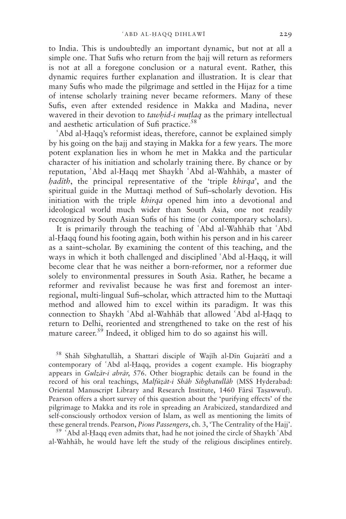to India. This is undoubtedly an important dynamic, but not at all a simple one. That Sufis who return from the hajj will return as reformers is not at all a foregone conclusion or a natural event. Rather, this dynamic requires further explanation and illustration. It is clear that many Sufis who made the pilgrimage and settled in the Hijaz for a time of intense scholarly training never became reformers. Many of these Sufis, even after extended residence in Makka and Madina, never wavered in their devotion to *tawhid-i mutlaq* as the primary intellectual and aesthetic articulation of Sufi practice.<sup>58</sup>

6Abd al-Eaqq's reformist ideas, therefore, cannot be explained simply by his going on the hajj and staying in Makka for a few years. The more potent explanation lies in whom he met in Makka and the particular character of his initiation and scholarly training there. By chance or by reputation, 'Abd al-Haqq met Shaykh 'Abd al-Wahhāb, a master of hadith, the principal representative of the 'triple khirga', and the spiritual guide in the Muttaqi method of Sufi–scholarly devotion. His initiation with the triple *khirqa* opened him into a devotional and ideological world much wider than South Asia, one not readily recognized by South Asian Sufis of his time (or contemporary scholars).

It is primarily through the teaching of 'Abd al-Wahhab that 'Abd al-Eaqq found his footing again, both within his person and in his career as a saint–scholar. By examining the content of this teaching, and the ways in which it both challenged and disciplined 'Abd al-Haqq, it will become clear that he was neither a born-reformer, nor a reformer due solely to environmental pressures in South Asia. Rather, he became a reformer and revivalist because he was first and foremost an interregional, multi-lingual Sufi–scholar, which attracted him to the Muttaqi method and allowed him to excel within its paradigm. It was this connection to Shaykh 'Abd al-Wahhab that allowed 'Abd al-Hagq to return to Delhi, reoriented and strengthened to take on the rest of his mature career.<sup>59</sup> Indeed, it obliged him to do so against his will.

58 Shāh Sibghatullāh, a Shattari disciple of Wajīh al-Dīn Gujarātī and a contemporary of 'Abd al-Haqq, provides a cogent example. His biography appears in Gulzār-i abrār, 576. Other biographic details can be found in the record of his oral teachings, Malfūzāt-i Shāh Sibghatullāh (MSS Hyderabad: Oriental Manuscript Library and Research Institute, 1460 Fārsī Taṣawwuf). Pearson offers a short survey of this question about the 'purifying effects' of the pilgrimage to Makka and its role in spreading an Arabicized, standardized and self-consciously orthodox version of Islam, as well as mentioning the limits of these general trends. Pearson, *Pious Passengers*, ch. 3, 'The Centrality of the Haij'.

<sup>59</sup> 'Abd al-Haqq even admits that, had he not joined the circle of Shaykh 'Abd al-Wahhāb, he would have left the study of the religious disciplines entirely.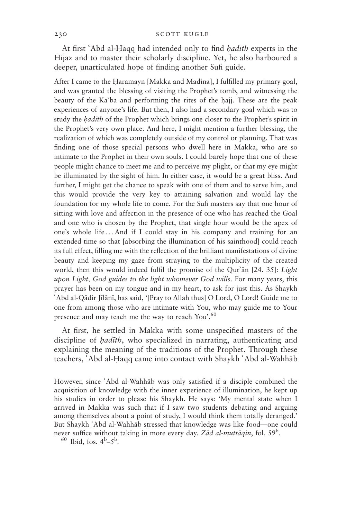### 230 SCOTT KUGLE

At first 'Abd al-Haqq had intended only to find *hadith* experts in the Hijaz and to master their scholarly discipline. Yet, he also harboured a deeper, unarticulated hope of finding another Sufi guide.

After I came to the Haramayn [Makka and Madina], I fulfilled my primary goal, and was granted the blessing of visiting the Prophet's tomb, and witnessing the beauty of the Ka'ba and performing the rites of the hajj. These are the peak experiences of anyone's life. But then, I also had a secondary goal which was to study the *hadith* of the Prophet which brings one closer to the Prophet's spirit in the Prophet's very own place. And here, I might mention a further blessing, the realization of which was completely outside of my control or planning. That was finding one of those special persons who dwell here in Makka, who are so intimate to the Prophet in their own souls. I could barely hope that one of these people might chance to meet me and to perceive my plight, or that my eye might be illuminated by the sight of him. In either case, it would be a great bliss. And further, I might get the chance to speak with one of them and to serve him, and this would provide the very key to attaining salvation and would lay the foundation for my whole life to come. For the Sufi masters say that one hour of sitting with love and affection in the presence of one who has reached the Goal and one who is chosen by the Prophet, that single hour would be the apex of one's whole life ... And if I could stay in his company and training for an extended time so that [absorbing the illumination of his sainthood] could reach its full effect, filling me with the reflection of the brilliant manifestations of divine beauty and keeping my gaze from straying to the multiplicity of the created world, then this would indeed fulfil the promise of the Qur'an [24. 35]: Light upon Light, God guides to the light whomever God wills. For many years, this prayer has been on my tongue and in my heart, to ask for just this. As Shaykh 'Abd al-Qādir Jīlānī, has said, '[Pray to Allah thus] O Lord, O Lord! Guide me to one from among those who are intimate with You, who may guide me to Your presence and may teach me the way to reach You'.<sup>60</sup>

At first, he settled in Makka with some unspecified masters of the discipline of *hadith*, who specialized in narrating, authenticating and explaining the meaning of the traditions of the Prophet. Through these teachers, Abd al-Haqq came into contact with Shaykh Abd al-Wahhab

However, since 'Abd al-Wahhab was only satisfied if a disciple combined the acquisition of knowledge with the inner experience of illumination, he kept up his studies in order to please his Shaykh. He says: 'My mental state when I arrived in Makka was such that if I saw two students debating and arguing among themselves about a point of study, I would think them totally deranged.' But Shaykh 'Abd al-Wahhāb stressed that knowledge was like food—one could never suffice without taking in more every day. Zād al-muttāqin, fol. 59<sup>b</sup>.<br><sup>60</sup> Ibid, fos.  $4^b-5^b$ .

 $-5^{\rm b}$ .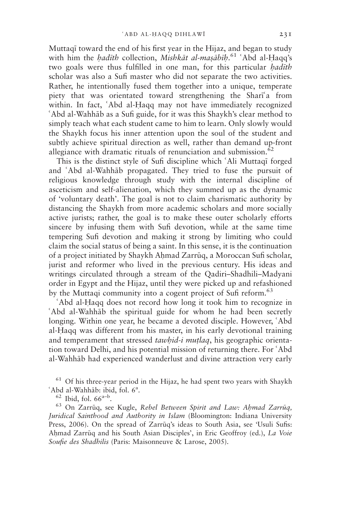Muttaq; toward the end of his first year in the Hijaz, and began to study with him the *hadīth* collection, Mishkāt al-masābīh.<sup>61</sup> 'Abd al-Haqq's two goals were thus fulfilled in one man, for this particular hadith scholar was also a Sufi master who did not separate the two activities. Rather, he intentionally fused them together into a unique, temperate piety that was orientated toward strengthening the Shari'a from within. In fact, 'Abd al-Haqq may not have immediately recognized 'Abd al-Wahhāb as a Sufi guide, for it was this Shaykh's clear method to simply teach what each student came to him to learn. Only slowly would the Shaykh focus his inner attention upon the soul of the student and subtly achieve spiritual direction as well, rather than demand up-front allegiance with dramatic rituals of renunciation and submission. $62$ 

This is the distinct style of Sufi discipline which 'Ali Muttaqi forged and 'Abd al-Wahhab propagated. They tried to fuse the pursuit of religious knowledge through study with the internal discipline of asceticism and self-alienation, which they summed up as the dynamic of 'voluntary death'. The goal is not to claim charismatic authority by distancing the Shaykh from more academic scholars and more socially active jurists; rather, the goal is to make these outer scholarly efforts sincere by infusing them with Sufi devotion, while at the same time tempering Sufi devotion and making it strong by limiting who could claim the social status of being a saint. In this sense, it is the continuation of a project initiated by Shaykh Ahmad Zarrūg, a Moroccan Sufi scholar, jurist and reformer who lived in the previous century. His ideas and writings circulated through a stream of the Qadiri–Shadhili–Madyani order in Egypt and the Hijaz, until they were picked up and refashioned by the Muttaqi community into a cogent project of Sufi reform.<sup>63</sup>

Abd al-Hagq does not record how long it took him to recognize in 'Abd al-Wahhāb the spiritual guide for whom he had been secretly longing. Within one year, he became a devoted disciple. However, 'Abd al-Eaqq was different from his master, in his early devotional training and temperament that stressed *tawhid-i mutlag*, his geographic orientation toward Delhi, and his potential mission of returning there. For 'Abd al-Wahhāb had experienced wanderlust and divine attraction very early

 $61$  Of his three-year period in the Hijaz, he had spent two years with Shaykh 'Abd al-Wahhāb: ibid, fol.  $6^a$ .<br><sup>62</sup> Ibid, fol.  $66^{a-b}$ .

<sup>63</sup> On Zarrūq, see Kugle, Rebel Between Spirit and Law: Ahmad Zarrūq, Juridical Sainthood and Authority in Islam (Bloomington: Indiana University Press, 2006). On the spread of Zarrūq's ideas to South Asia, see 'Usuli Sufis: Ahmad Zarrūq and his South Asian Disciples', in Eric Geoffroy (ed.), La Voie Soufie des Shadhilis (Paris: Maisonneuve & Larose, 2005).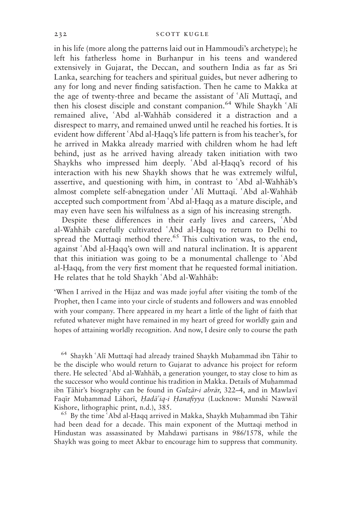in his life (more along the patterns laid out in Hammoudi's archetype); he left his fatherless home in Burhanpur in his teens and wandered extensively in Gujarat, the Deccan, and southern India as far as Sri Lanka, searching for teachers and spiritual guides, but never adhering to any for long and never finding satisfaction. Then he came to Makka at the age of twenty-three and became the assistant of 'Ali Muttaqi, and then his closest disciple and constant companion.<sup>64</sup> While Shaykh 'Ali remained alive, 'Abd al-Wahhab considered it a distraction and a disrespect to marry, and remained unwed until he reached his forties. It is evident how different 'Abd al-Haqq's life pattern is from his teacher's, for he arrived in Makka already married with children whom he had left behind, just as he arrived having already taken initiation with two Shaykhs who impressed him deeply. 'Abd al-Haqq's record of his interaction with his new Shaykh shows that he was extremely wilful, assertive, and questioning with him, in contrast to 'Abd al-Wahhāb's almost complete self-abnegation under 'Alī Muttaqī. 'Abd al-Wahhāb accepted such comportment from 'Abd al-Haqq as a mature disciple, and may even have seen his wilfulness as a sign of his increasing strength.

Despite these differences in their early lives and careers, 'Abd al-Wahhāb carefully cultivated 'Abd al-Haqq to return to Delhi to spread the Muttaqi method there. $65$  This cultivation was, to the end, against 'Abd al-Haqq's own will and natural inclination. It is apparent that this initiation was going to be a monumental challenge to 'Abd al-Eaqq, from the very first moment that he requested formal initiation. He relates that he told Shaykh 'Abd al-Wahhāb:

'When I arrived in the Hijaz and was made joyful after visiting the tomb of the Prophet, then I came into your circle of students and followers and was ennobled with your company. There appeared in my heart a little of the light of faith that refuted whatever might have remained in my heart of greed for worldly gain and hopes of attaining worldly recognition. And now, I desire only to course the path

<sup>64</sup> Shaykh 'Alī Muttaqī had already trained Shaykh Muḥammad ibn Țāhir to be the disciple who would return to Gujarat to advance his project for reform there. He selected 'Abd al-Wahhāb, a generation younger, to stay close to him as the successor who would continue his tradition in Makka. Details of Muhammad ibn Tāhir's biography can be found in Gulzār-i abrār, 322–4, and in Mawlavī Faqīr Muhammad Lāhorī, Hadā'iq-i Hanafiyya (Lucknow: Munshī Nawwāl Kishore, lithographic print, n.d.), 385.<br><sup>65</sup> By the time 'Abd al-Haqq arrived in Makka, Shaykh Muhammad ibn Tāhir

had been dead for a decade. This main exponent of the Muttaqi method in Hindustan was assassinated by Mahdawi partisans in 986/1578, while the Shaykh was going to meet Akbar to encourage him to suppress that community.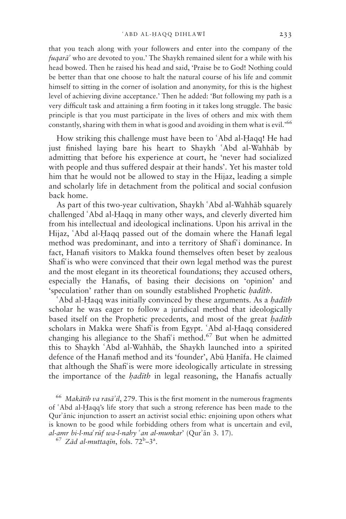that you teach along with your followers and enter into the company of the  $fuga\tau\vec{a}$  who are devoted to you.' The Shaykh remained silent for a while with his head bowed. Then he raised his head and said, 'Praise be to God! Nothing could be better than that one choose to halt the natural course of his life and commit himself to sitting in the corner of isolation and anonymity, for this is the highest level of achieving divine acceptance.' Then he added: 'But following my path is a very difficult task and attaining a firm footing in it takes long struggle. The basic principle is that you must participate in the lives of others and mix with them constantly, sharing with them in what is good and avoiding in them what is evil.<sup>566</sup>

How striking this challenge must have been to 'Abd al-Haqq! He had just finished laying bare his heart to Shaykh 'Abd al-Wahhab by admitting that before his experience at court, he 'never had socialized with people and thus suffered despair at their hands'. Yet his master told him that he would not be allowed to stay in the Hijaz, leading a simple and scholarly life in detachment from the political and social confusion back home.

As part of this two-year cultivation, Shaykh 'Abd al-Wahhāb squarely challenged 'Abd al-Ḥaqq in many other ways, and cleverly diverted him from his intellectual and ideological inclinations. Upon his arrival in the Hijaz, 'Abd al-Haqq passed out of the domain where the Hanafi legal method was predominant, and into a territory of Shafi'i dominance. In fact, Hanafi visitors to Makka found themselves often beset by zealous Shafi's who were convinced that their own legal method was the purest and the most elegant in its theoretical foundations; they accused others, especially the Hanafis, of basing their decisions on 'opinion' and 'speculation' rather than on soundly established Prophetic *hadīth*.

Abd al-Haqq was initially convinced by these arguments. As a *hadith* scholar he was eager to follow a juridical method that ideologically based itself on the Prophetic precedents, and most of the great *hadith* scholars in Makka were Shafi'is from Egypt. 'Abd al-Haqq considered changing his allegiance to the Shafi'i method.<sup>67</sup> But when he admitted this to Shaykh 'Abd al-Wahhāb, the Shaykh launched into a spirited defence of the Hanafi method and its 'founder', Abū Hanīfa. He claimed that although the Shafi's were more ideologically articulate in stressing the importance of the *hadith* in legal reasoning, the Hanafis actually

 $66$  Makātīb va rasā'il, 279. This is the first moment in the numerous fragments of 6Abd al-Eaqq's life story that such a strong reference has been made to the Qur'anic injunction to assert an activist social ethic: enjoining upon others what is known to be good while forbidding others from what is uncertain and evil, al-amr bi-l-ma'rūf wa-l-nahy 'an al-munkar' (Qur'ān 3. 17).

 $-3^a$ .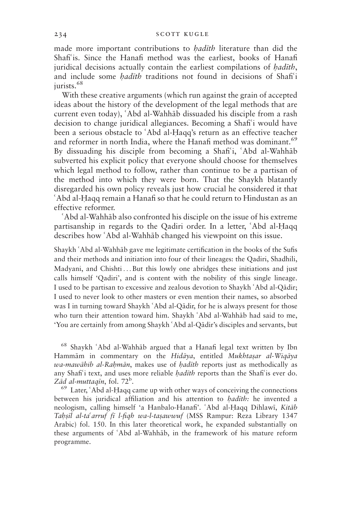made more important contributions to *hadith* literature than did the Shafi'is. Since the Hanafi method was the earliest, books of Hanafi juridical decisions actually contain the earliest compilations of hadith, and include some *hadith* traditions not found in decisions of Shafi<sup>c</sup>i jurists.<sup>68</sup>

With these creative arguments (which run against the grain of accepted ideas about the history of the development of the legal methods that are current even today), 'Abd al-Wahhāb dissuaded his disciple from a rash decision to change juridical allegiances. Becoming a Shafi'i would have been a serious obstacle to 'Abd al-Hagq's return as an effective teacher and reformer in north India, where the Hanafi method was dominant.<sup>69</sup> By dissuading his disciple from becoming a Shafi'i, 'Abd al-Wahhab subverted his explicit policy that everyone should choose for themselves which legal method to follow, rather than continue to be a partisan of the method into which they were born. That the Shaykh blatantly disregarded his own policy reveals just how crucial he considered it that Abd al-Haqq remain a Hanafi so that he could return to Hindustan as an effective reformer.

Abd al-Wahhāb also confronted his disciple on the issue of his extreme partisanship in regards to the Qadiri order. In a letter, 'Abd al-Haqq describes how 'Abd al-Wahhāb changed his viewpoint on this issue.

Shaykh 'Abd al-Wahhāb gave me legitimate certification in the books of the Sufis and their methods and initiation into four of their lineages: the Qadiri, Shadhili, Madyani, and Chishti ... But this lowly one abridges these initiations and just calls himself 'Qadiri', and is content with the nobility of this single lineage. I used to be partisan to excessive and zealous devotion to Shaykh 'Abd al-Qādir; I used to never look to other masters or even mention their names, so absorbed was I in turning toward Shaykh 'Abd al-Qādir, for he is always present for those who turn their attention toward him. Shaykh 'Abd al-Wahhab had said to me, 'You are certainly from among Shaykh 'Abd al-Qādir's disciples and servants, but

 $68$  Shaykh 'Abd al-Wahhāb argued that a Hanafi legal text written by Ibn Hammām in commentary on the Hidāya, entitled Mukhtasar al-Wiqāya wa-mawāhib al-Rahmān, makes use of hadīth reports just as methodically as any Shafi'i text, and uses more reliable *hadith* reports than the Shafi'is ever do. Zād al-muttagīn, fol.  $72^b$ .

<sup>69</sup> Later, 'Abd al-Haqq came up with other ways of conceiving the connections between his juridical affiliation and his attention to *hadith*: he invented a neologism, calling himself 'a Hanbalo-Hanafi'. 'Abd al-Haqq Dihlawi, Kitāb Tahṣīl al-ta'arruf fī l-fiqh wa-l-taṣawwuf (MSS Rampur: Reza Library 1347 Arabic) fol. 150. In this later theoretical work, he expanded substantially on these arguments of 'Abd al-Wahhāb, in the framework of his mature reform programme.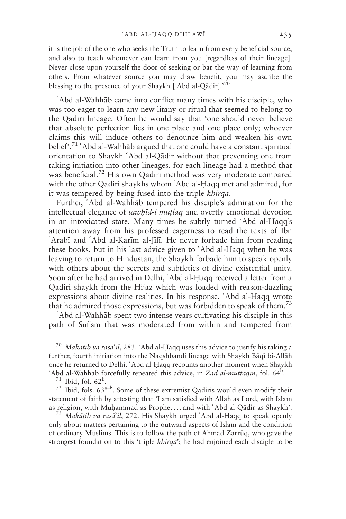it is the job of the one who seeks the Truth to learn from every beneficial source, and also to teach whomever can learn from you [regardless of their lineage]. Never close upon yourself the door of seeking or bar the way of learning from others. From whatever source you may draw benefit, you may ascribe the blessing to the presence of your Shaykh ['Abd al-Qādir].'70

'Abd al-Wahhāb came into conflict many times with his disciple, who was too eager to learn any new litany or ritual that seemed to belong to the Qadiri lineage. Often he would say that 'one should never believe that absolute perfection lies in one place and one place only; whoever claims this will induce others to denounce him and weaken his own belief'.<sup>71</sup>  $\epsilon$ Abd al-Wahhāb argued that one could have a constant spiritual orientation to Shaykh 'Abd al-Qādir without that preventing one from taking initiation into other lineages, for each lineage had a method that was beneficial.<sup>72</sup> His own Qadiri method was very moderate compared with the other Qadiri shaykhs whom 'Abd al-Haqq met and admired, for it was tempered by being fused into the triple khirqa.

Further, 'Abd al-Wahhāb tempered his disciple's admiration for the intellectual elegance of *tawhid-i mutlaq* and overtly emotional devotion in an intoxicated state. Many times he subtly turned 'Abd al-Haqq's attention away from his professed eagerness to read the texts of Ibn 'Arabī and 'Abd al-Karīm al-Jīlī. He never forbade him from reading these books, but in his last advice given to 'Abd al-Haqq when he was leaving to return to Hindustan, the Shaykh forbade him to speak openly with others about the secrets and subtleties of divine existential unity. Soon after he had arrived in Delhi, 'Abd al-Hagq received a letter from a Qadiri shaykh from the Hijaz which was loaded with reason-dazzling expressions about divine realities. In his response, 'Abd al-Haqq wrote that he admired those expressions, but was forbidden to speak of them.<sup>73</sup>

'Abd al-Wahhāb spent two intense years cultivating his disciple in this path of Sufism that was moderated from within and tempered from

Makātīb va rasā'il, 283. 'Abd al-Haqq uses this advice to justify his taking a further, fourth initiation into the Naqshbandi lineage with Shaykh Bāqī bi-Allāh once he returned to Delhi. 'Abd al-Haqq recounts another moment when Shaykh 'Abd al-Wahhāb forcefully repeated this advice, in Zād al-muttaqīn, fol. 64<sup>b</sup>.<br><sup>71</sup> Ibid, fol. 62<sup>b</sup>.

<sup>71</sup> Ibid, fol.  $62^b$ .<br><sup>72</sup> Ibid, fols.  $63^{a-b}$ . Some of these extremist Qadiris would even modify their statement of faith by attesting that 'I am satisfied with Allah as Lord, with Islam as religion, with Muhammad as Prophet ... and with 'Abd al-Qādir as Shaykh'. <sup>73</sup> Makātib va rasā'il, 272. His Shaykh urged 'Abd al-Haqq to speak openly

only about matters pertaining to the outward aspects of Islam and the condition of ordinary Muslims. This is to follow the path of Ahmad Zarrūq, who gave the strongest foundation to this 'triple *khirqa*'; he had enjoined each disciple to be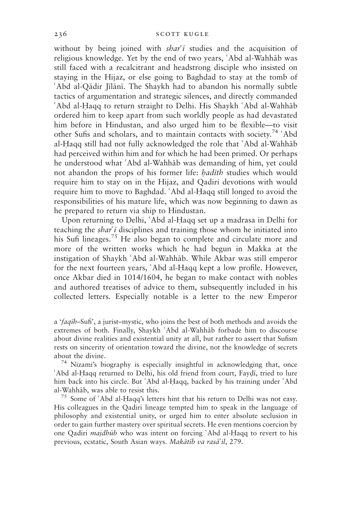without by being joined with  $\text{shar}^c\bar{\textit{i}}$  studies and the acquisition of religious knowledge. Yet by the end of two years, 'Abd al-Wahhab was still faced with a recalcitrant and headstrong disciple who insisted on staying in the Hijaz, or else going to Baghdad to stay at the tomb of 'Abd al-Qādir Jīlānī. The Shaykh had to abandon his normally subtle tactics of argumentation and strategic silences, and directly commanded 'Abd al-Haqq to return straight to Delhi. His Shaykh 'Abd al-Wahhab ordered him to keep apart from such worldly people as had devastated him before in Hindustan, and also urged him to be flexible—to visit other Sufis and scholars, and to maintain contacts with society.<sup>74</sup> 'Abd al-Haqq still had not fully acknowledged the role that 'Abd al-Wahhab had perceived within him and for which he had been primed. Or perhaps he understood what 'Abd al-Wahhāb was demanding of him, yet could not abandon the props of his former life: *hadith* studies which would require him to stay on in the Hijaz, and Qadiri devotions with would require him to move to Baghdad. 'Abd al-Haqq still longed to avoid the responsibilities of his mature life, which was now beginning to dawn as he prepared to return via ship to Hindustan.

Upon returning to Delhi, 'Abd al-Hagq set up a madrasa in Delhi for teaching the *shar<sup>c</sup>* disciplines and training those whom he initiated into his Sufi lineages.<sup>75</sup> He also began to complete and circulate more and more of the written works which he had begun in Makka at the instigation of Shaykh 'Abd al-Wahhāb. While Akbar was still emperor for the next fourteen years, 'Abd al-Haqq kept a low profile. However, once Akbar died in 1014/1604, he began to make contact with nobles and authored treatises of advice to them, subsequently included in his collected letters. Especially notable is a letter to the new Emperor

a 'faq;h–Sufi', a jurist–mystic, who joins the best of both methods and avoids the extremes of both. Finally, Shaykh 'Abd al-Wahhab forbade him to discourse about divine realities and existential unity at all, but rather to assert that Sufism rests on sincerity of orientation toward the divine, not the knowledge of secrets

about the divine.<br><sup>74</sup> Nizami's biography is especially insightful in acknowledging that, once 'Abd al-Hagq returned to Delhi, his old friend from court, Faydī, tried to lure him back into his circle. But 'Abd al-Haqq, backed by his training under 'Abd al-Wahhāb, was able to resist this.<br><sup>75</sup> Some of 'Abd al-Haqq's letters hint that his return to Delhi was not easy.

His colleagues in the Qadiri lineage tempted him to speak in the language of philosophy and existential unity, or urged him to enter absolute seclusion in order to gain further mastery over spiritual secrets. He even mentions coercion by one Qadiri majdhūb who was intent on forcing 'Abd al-Haqq to revert to his previous, ecstatic, South Asian ways. Makātīb va rasā'il, 279.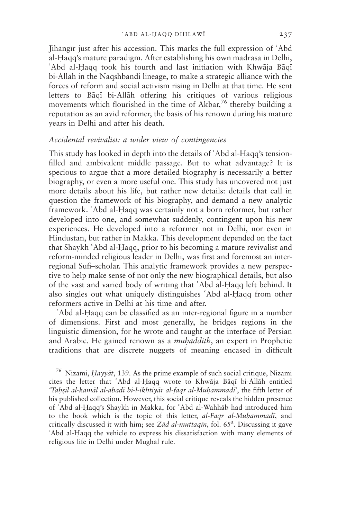Jihāngīr just after his accession. This marks the full expression of 'Abd al-Eaqq's mature paradigm. After establishing his own madrasa in Delhi, Abd al-Haqq took his fourth and last initiation with Khwaja Baqi bi-Allah in the Naqshbandi lineage, to make a strategic alliance with the forces of reform and social activism rising in Delhi at that time. He sent letters to Bāqī bi-Allāh offering his critiques of various religious movements which flourished in the time of Akbar,<sup>76</sup> thereby building a reputation as an avid reformer, the basis of his renown during his mature years in Delhi and after his death.

### Accidental revivalist: a wider view of contingencies

This study has looked in depth into the details of 'Abd al-Haqq's tensionfilled and ambivalent middle passage. But to what advantage? It is specious to argue that a more detailed biography is necessarily a better biography, or even a more useful one. This study has uncovered not just more details about his life, but rather new details: details that call in question the framework of his biography, and demand a new analytic framework. Abd al-Haqq was certainly not a born reformer, but rather developed into one, and somewhat suddenly, contingent upon his new experiences. He developed into a reformer not in Delhi, nor even in Hindustan, but rather in Makka. This development depended on the fact that Shaykh 'Abd al-Haqq, prior to his becoming a mature revivalist and reform-minded religious leader in Delhi, was first and foremost an interregional Sufi–scholar. This analytic framework provides a new perspective to help make sense of not only the new biographical details, but also of the vast and varied body of writing that 'Abd al-Hagq left behind. It also singles out what uniquely distinguishes 'Abd al-Haqq from other reformers active in Delhi at his time and after.

6Abd al-Eaqq can be classified as an inter-regional figure in a number of dimensions. First and most generally, he bridges regions in the linguistic dimension, for he wrote and taught at the interface of Persian and Arabic. He gained renown as a *muhaddith*, an expert in Prophetic traditions that are discrete nuggets of meaning encased in difficult

<sup>76</sup> Nizami, *Hayyāt*, 139. As the prime example of such social critique, Nizami cites the letter that 'Abd al-Haqq wrote to Khwāja Bāqī bi-Allāh entitled 'Tahșil al-kamāl al-abadī bi-l-ikhtiyār al-faqr al-Muhammadī', the fifth letter of his published collection. However, this social critique reveals the hidden presence of 'Abd al-Haqq's Shaykh in Makka, for 'Abd al-Wahhab had introduced him to the book which is the topic of this letter, al-Faqr al-Muhammadi, and critically discussed it with him; see Zād al-muttaqīn, fol. 65<sup>a</sup>. Discussing it gave 6Abd al-Eaqq the vehicle to express his dissatisfaction with many elements of religious life in Delhi under Mughal rule.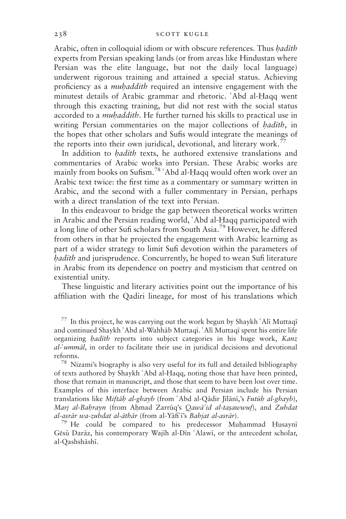### 238 SCOTT KUGLE

Arabic, often in colloquial idiom or with obscure references. Thus hadith experts from Persian speaking lands (or from areas like Hindustan where Persian was the elite language, but not the daily local language) underwent rigorous training and attained a special status. Achieving proficiency as a *muhaddith* required an intensive engagement with the minutest details of Arabic grammar and rhetoric. 'Abd al-Haqq went through this exacting training, but did not rest with the social status accorded to a *muhaddith*. He further turned his skills to practical use in writing Persian commentaries on the major collections of *hadith*, in the hopes that other scholars and Sufis would integrate the meanings of the reports into their own juridical, devotional, and literary work.<sup>77</sup>

In addition to *hadith* texts, he authored extensive translations and commentaries of Arabic works into Persian. These Arabic works are mainly from books on Sufism.<sup>78</sup> 'Abd al-Haqq would often work over an Arabic text twice: the first time as a commentary or summary written in Arabic, and the second with a fuller commentary in Persian, perhaps with a direct translation of the text into Persian.

In this endeavour to bridge the gap between theoretical works written in Arabic and the Persian reading world, 'Abd al-Haqq participated with a long line of other Sufi scholars from South Asia.79 However, he differed from others in that he projected the engagement with Arabic learning as part of a wider strategy to limit Sufi devotion within the parameters of hadith and jurisprudence. Concurrently, he hoped to wean Sufi literature in Arabic from its dependence on poetry and mysticism that centred on existential unity.

These linguistic and literary activities point out the importance of his affiliation with the Qadiri lineage, for most of his translations which

 $77$  In this project, he was carrying out the work begun by Shaykh 'Alī Muttaqī and continued Shaykh 'Abd al-Wahhāb Muttaqī. 'Alī Muttaqī spent his entire life organizing *hadith* reports into subject categories in his huge work, Kanz  $al<sup>2</sup>ummil$ , in order to facilitate their use in juridical decisions and devotional reforms. <sup>78</sup> Nizami's biography is also very useful for its full and detailed bibliography

of texts authored by Shaykh 'Abd al-Haqq, noting those that have been printed, those that remain in manuscript, and those that seem to have been lost over time. Examples of this interface between Arabic and Persian include his Persian translations like Miftah al-ghayb (from 'Abd al-Qādir Jīlānī,'s Futūh al-ghayb), Marj al-Bahrayn (from Ahmad Zarrūg's Qawā'id al-tasawwuf), and Zubdat al-asrār wa-zubdat al-āthār (from al-Yāfi<sup>-</sup>ī's Bahjat al-asrār).<br><sup>79</sup> He could be compared to his predecessor Muhammad Husaynī

Gēsū Darāz, his contemporary Wajīh al-Dīn 'Alawī, or the antecedent scholar, al-Qashshāshī.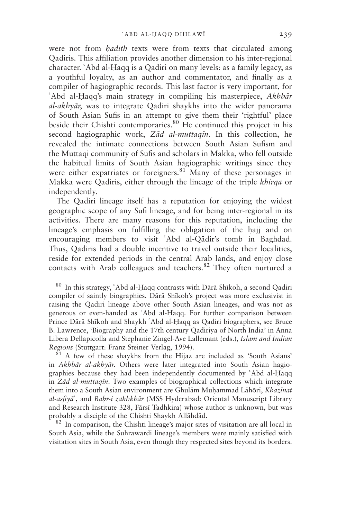were not from *hadith* texts were from texts that circulated among Qadiris. This affiliation provides another dimension to his inter-regional character. Abd al-Haqq is a Qadiri on many levels: as a family legacy, as a youthful loyalty, as an author and commentator, and finally as a compiler of hagiographic records. This last factor is very important, for 'Abd al-Haqq's main strategy in compiling his masterpiece,  $Akb\bar{a}r$  $al-akby\bar{a}r$ , was to integrate Qadiri shaykhs into the wider panorama of South Asian Sufis in an attempt to give them their 'rightful' place beside their Chishti contemporaries.<sup>80</sup> He continued this project in his second hagiographic work, Zād al-muttaqīn. In this collection, he revealed the intimate connections between South Asian Sufism and the Muttaqi community of Sufis and scholars in Makka, who fell outside the habitual limits of South Asian hagiographic writings since they were either expatriates or foreigners.<sup>81</sup> Many of these personages in Makka were Qadiris, either through the lineage of the triple khirqa or independently.

The Qadiri lineage itself has a reputation for enjoying the widest geographic scope of any Sufi lineage, and for being inter-regional in its activities. There are many reasons for this reputation, including the lineage's emphasis on fulfilling the obligation of the hajj and on encouraging members to visit 'Abd al-Qādir's tomb in Baghdad. Thus, Qadiris had a double incentive to travel outside their localities, reside for extended periods in the central Arab lands, and enjoy close contacts with Arab colleagues and teachers.<sup>82</sup> They often nurtured a

<sup>80</sup> In this strategy, 'Abd al-Haqq contrasts with Dārā Shīkoh, a second Qadiri compiler of saintly biographies. Dārā Shīkoh's project was more exclusivist in raising the Qadiri lineage above other South Asian lineages, and was not as generous or even-handed as 'Abd al-Haqq. For further comparison between Prince Dārā Shīkoh and Shaykh 'Abd al-Haqq as Qadiri biographers, see Bruce B. Lawrence, 'Biography and the 17th century Qadiriya of North India' in Anna Libera Dellapicolla and Stephanie Zingel-Ave Lallemant (eds.), Islam and Indian Regions (Stuttgart: Franz Steiner Verlag, 1994). <sup>81</sup> A few of these shaykhs from the Hijaz are included as 'South Asians'

in Akhbār al-akhyār. Others were later integrated into South Asian hagiographies because they had been independently documented by 'Abd al-Haqq in  $Z\bar{a}d$  al-muttaq $\bar{m}$ . Two examples of biographical collections which integrate them into a South Asian environment are Ghulām Muhammad Lāhōrī, Khazīnat al-asfiya<sup>2</sup>, and Bahr-i zakhkhār (MSS Hyderabad: Oriental Manuscript Library and Research Institute 328, Fārsī Tadhkira) whose author is unknown, but was probably a disciple of the Chishti Shaykh Allāhdād.<br><sup>82</sup> In comparison, the Chishti lineage's major sites of visitation are all local in

South Asia, while the Suhrawardi lineage's members were mainly satisfied with visitation sites in South Asia, even though they respected sites beyond its borders.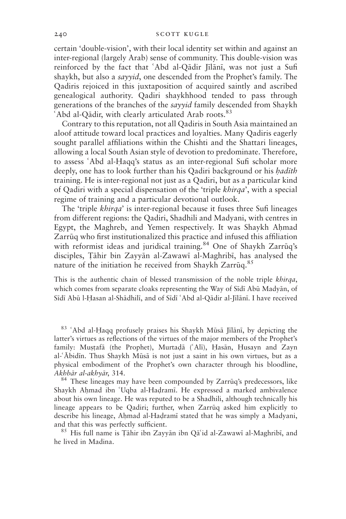### 240 SCOTT KUGLE

certain 'double-vision', with their local identity set within and against an inter-regional (largely Arab) sense of community. This double-vision was reinforced by the fact that 'Abd al-Qādir Jīlānī, was not just a Sufi shaykh, but also a sayyid, one descended from the Prophet's family. The Qadiris rejoiced in this juxtaposition of acquired saintly and ascribed genealogical authority. Qadiri shaykhhood tended to pass through generations of the branches of the sayyid family descended from Shaykh 'Abd al-Qādir, with clearly articulated Arab roots.<sup>83</sup>

Contrary to this reputation, not all Qadiris in South Asia maintained an aloof attitude toward local practices and loyalties. Many Qadiris eagerly sought parallel affiliations within the Chishti and the Shattari lineages, allowing a local South Asian style of devotion to predominate. Therefore, to assess 'Abd al-Haqq's status as an inter-regional Sufi scholar more deeply, one has to look further than his Qadiri background or his *hadith* training. He is inter-regional not just as a Qadiri, but as a particular kind of Qadiri with a special dispensation of the 'triple khirqa', with a special regime of training and a particular devotional outlook.

The 'triple khirqa' is inter-regional because it fuses three Sufi lineages from different regions: the Qadiri, Shadhili and Madyani, with centres in Egypt, the Maghreb, and Yemen respectively. It was Shaykh Ahmad Zarrūq who first institutionalized this practice and infused this affiliation with reformist ideas and juridical training.<sup>84</sup> One of Shaykh Zarrūq's disciples, Tāhir bin Zayyān al-Zawawī al-Maghribī, has analysed the nature of the initiation he received from Shaykh Zarrūq.<sup>85</sup>

This is the authentic chain of blessed transmission of the noble triple khirqa, which comes from separate cloaks representing the Way of Sīdī Abū Madyān, of Sīdī Abū l-Hasan al-Shādhilī, and of Sīdī 'Abd al-Qādir al-Jīlānī. I have received

83 'Abd al-Haqq profusely praises his Shaykh Mūsā Jīlānī, by depicting the latter's virtues as reflections of the virtues of the major members of the Prophet's family: Muștafā (the Prophet), Murtadā ('Alī), Hasān, Husayn and Zayn al-'Ābidīn. Thus Shaykh Mūsā is not just a saint in his own virtues, but as a physical embodiment of the Prophet's own character through his bloodline, Akhbār al-akhyār, 314.  $^{84}$  These lineages may have been compounded by Zarrūq's predecessors, like

Shaykh Ahmad ibn 'Uqba al-Hadramī. He expressed a marked ambivalence about his own lineage. He was reputed to be a Shadhili, although technically his lineage appears to be Qadiri; further, when Zarrūq asked him explicitly to describe his lineage, Ahmad al-Hadramī stated that he was simply a Madyani, and that this was perfectly sufficient.<br><sup>85</sup> His full name is Tāhir ibn Zayyān ibn Qāʿid al-Zawawī al-Maghribī, and

he lived in Madina.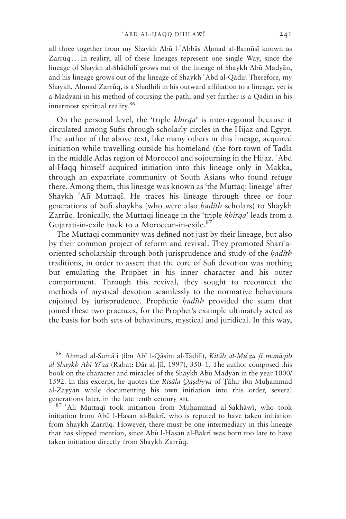all three together from my Shaykh Abū l-'Abbās Aḥmad al-Barnūsī known as  $Zarr\bar{u}q$ ...In reality, all of these lineages represent one single Way, since the lineage of Shaykh al-Shādhilī grows out of the lineage of Shaykh Abū Madyān, and his lineage grows out of the lineage of Shaykh 'Abd al-Qādir. Therefore, my Shaykh, Ahmad Zarrūq, is a Shadhili in his outward affiliation to a lineage, yet is a Madyani in his method of coursing the path, and yet further is a Qadiri in his innermost spiritual reality.<sup>86</sup>

On the personal level, the 'triple khirqa' is inter-regional because it circulated among Sufis through scholarly circles in the Hijaz and Egypt. The author of the above text, like many others in this lineage, acquired initiation while travelling outside his homeland (the fort-town of Tadla in the middle Atlas region of Morocco) and sojourning in the Hijaz. 'Abd al-Eaqq himself acquired initiation into this lineage only in Makka, through an expatriate community of South Asians who found refuge there. Among them, this lineage was known as 'the Muttaqi lineage' after Shaykh 'Ali Muttaqi. He traces his lineage through three or four generations of Sufi shaykhs (who were also *hadīth* scholars) to Shaykh Zarrūg. Ironically, the Muttagi lineage in the 'triple khirga' leads from a Gujarati-in-exile back to a Moroccan-in-exile.<sup>87</sup>

The Muttaqi community was defined not just by their lineage, but also by their common project of reform and revival. They promoted Shari<sup>-1</sup>aoriented scholarship through both jurisprudence and study of the *hadith* traditions, in order to assert that the core of Sufi devotion was nothing but emulating the Prophet in his inner character and his outer comportment. Through this revival, they sought to reconnect the methods of mystical devotion seamlessly to the normative behaviours enjoined by jurisprudence. Prophetic *hadith* provided the seam that joined these two practices, for the Prophet's example ultimately acted as the basis for both sets of behaviours, mystical and juridical. In this way,

86 Ahmad al-Sumā'i (ibn Abī l-Qāsim al-Tādilī), Kitāb al-Mu'za fī manāqib al-Shaykh Abī Yi'za (Rabat: Dār al-Jīl, 1997), 350–1. The author composed this book on the character and miracles of the Shaykh Abū Madyān in the year 1000/ 1592. In this excerpt, he quotes the Risala Qasdiyya of Tahir ibn Muhammad al-Zayyān while documenting his own initiation into this order, several generations later, in the late tenth century AH.<br><sup>87</sup> <sup>6</sup>Ali Muttaqī took initiation from Muhammad al-Sakhāwī, who took

initiation from Abū l-Hasan al-Bakrī, who is reputed to have taken initiation from Shaykh Zarrūq. However, there must be one intermediary in this lineage that has slipped mention, since Abū l-Hasan al-Bakrī was born too late to have taken initiation directly from Shaykh Zarrūq.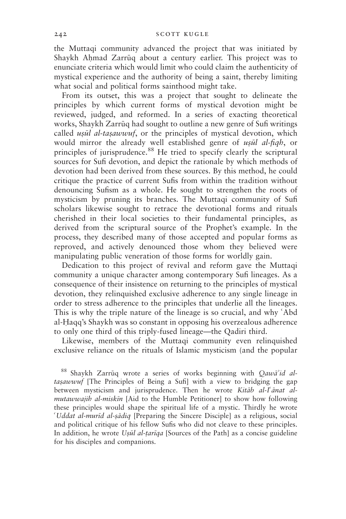the Muttaqi community advanced the project that was initiated by Shaykh Ahmad Zarrūq about a century earlier. This project was to enunciate criteria which would limit who could claim the authenticity of mystical experience and the authority of being a saint, thereby limiting what social and political forms sainthood might take.

From its outset, this was a project that sought to delineate the principles by which current forms of mystical devotion might be reviewed, judged, and reformed. In a series of exacting theoretical works, Shaykh Zarrūg had sought to outline a new genre of Sufi writings called *usul al-tasawwuf*, or the principles of mystical devotion, which would mirror the already well established genre of usul al-fiqh, or principles of jurisprudence.<sup>88</sup> He tried to specify clearly the scriptural sources for Sufi devotion, and depict the rationale by which methods of devotion had been derived from these sources. By this method, he could critique the practice of current Sufis from within the tradition without denouncing Sufism as a whole. He sought to strengthen the roots of mysticism by pruning its branches. The Muttaqi community of Sufi scholars likewise sought to retrace the devotional forms and rituals cherished in their local societies to their fundamental principles, as derived from the scriptural source of the Prophet's example. In the process, they described many of those accepted and popular forms as reproved, and actively denounced those whom they believed were manipulating public veneration of those forms for worldly gain.

Dedication to this project of revival and reform gave the Muttaqi community a unique character among contemporary Sufi lineages. As a consequence of their insistence on returning to the principles of mystical devotion, they relinquished exclusive adherence to any single lineage in order to stress adherence to the principles that underlie all the lineages. This is why the triple nature of the lineage is so crucial, and why 'Abd al-Eaqq's Shaykh was so constant in opposing his overzealous adherence to only one third of this triply-fused lineage—the Qadiri third.

Likewise, members of the Muttaqi community even relinquished exclusive reliance on the rituals of Islamic mysticism (and the popular

Shaykh Zarrūq wrote a series of works beginning with  $\alpha$ awa'id altasawwuf [The Principles of Being a Sufi] with a view to bridging the gap between mysticism and jurisprudence. Then he wrote Kitāb al-I'ānat almutawwajih al-miskin [Aid to the Humble Petitioner] to show how following these principles would shape the spiritual life of a mystic. Thirdly he wrote  $\partial^{\alpha}U_{\alpha}$  al-murid al-sādiq [Preparing the Sincere Disciple] as a religious, social and political critique of his fellow Sufis who did not cleave to these principles. In addition, he wrote Usul al-țariqa [Sources of the Path] as a concise guideline for his disciples and companions.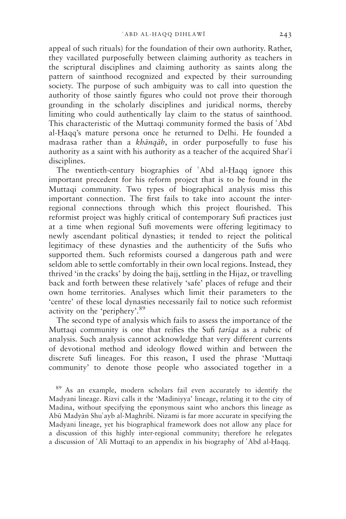appeal of such rituals) for the foundation of their own authority. Rather, they vacillated purposefully between claiming authority as teachers in the scriptural disciplines and claiming authority as saints along the pattern of sainthood recognized and expected by their surrounding society. The purpose of such ambiguity was to call into question the authority of those saintly figures who could not prove their thorough grounding in the scholarly disciplines and juridical norms, thereby limiting who could authentically lay claim to the status of sainthood. This characteristic of the Muttaqi community formed the basis of 'Abd al-Eaqq's mature persona once he returned to Delhi. He founded a madrasa rather than a khāngāh, in order purposefully to fuse his authority as a saint with his authority as a teacher of the acquired Shar'i disciplines.

The twentieth-century biographies of 'Abd al-Haqq ignore this important precedent for his reform project that is to be found in the Muttaqi community. Two types of biographical analysis miss this important connection. The first fails to take into account the interregional connections through which this project flourished. This reformist project was highly critical of contemporary Sufi practices just at a time when regional Sufi movements were offering legitimacy to newly ascendant political dynasties; it tended to reject the political legitimacy of these dynasties and the authenticity of the Sufis who supported them. Such reformists coursed a dangerous path and were seldom able to settle comfortably in their own local regions. Instead, they thrived 'in the cracks' by doing the Aajj, settling in the Hijaz, or travelling back and forth between these relatively 'safe' places of refuge and their own home territories. Analyses which limit their parameters to the 'centre' of these local dynasties necessarily fail to notice such reformist activity on the 'periphery'.<sup>89</sup>

The second type of analysis which fails to assess the importance of the Muttaqi community is one that reifies the Sufi tariqa as a rubric of analysis. Such analysis cannot acknowledge that very different currents of devotional method and ideology flowed within and between the discrete Sufi lineages. For this reason, I used the phrase 'Muttaqi community' to denote those people who associated together in a

<sup>89</sup> As an example, modern scholars fail even accurately to identify the Madyani lineage. Rizvi calls it the 'Madiniyya' lineage, relating it to the city of Madina, without specifying the eponymous saint who anchors this lineage as Abū Madyān Shuʿayb al-Maghribī. Nizami is far more accurate in specifying the Madyani lineage, yet his biographical framework does not allow any place for a discussion of this highly inter-regional community; therefore he relegates a discussion of 'Alī Muttaqī to an appendix in his biography of 'Abd al-Haqq.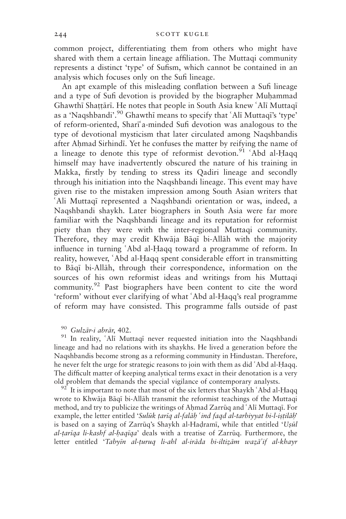common project, differentiating them from others who might have shared with them a certain lineage affiliation. The Muttaqi community represents a distinct 'type' of Sufism, which cannot be contained in an analysis which focuses only on the Sufi lineage.

An apt example of this misleading conflation between a Sufi lineage and a type of Sufi devotion is provided by the biographer Muhammad Ghawthī Shaṭṭārī. He notes that people in South Asia knew 'Alī Muttaqī as a 'Naqshbandi'.<sup>90</sup> Ghawthi means to specify that 'Ali Muttaqi's 'type' of reform-oriented, Shari<sup>6</sup>a-minded Sufi devotion was analogous to the type of devotional mysticism that later circulated among Naqshbandis after AAmad Sirhind;. Yet he confuses the matter by reifying the name of a lineage to denote this type of reformist devotion.<sup>91</sup> 'Abd al-Haqq himself may have inadvertently obscured the nature of his training in Makka, firstly by tending to stress its Qadiri lineage and secondly through his initiation into the Naqshbandi lineage. This event may have given rise to the mistaken impression among South Asian writers that 6Ali Muttaq; represented a Naqshbandi orientation or was, indeed, a Naqshbandi shaykh. Later biographers in South Asia were far more familiar with the Naqshbandi lineage and its reputation for reformist piety than they were with the inter-regional Muttaqi community. Therefore, they may credit Khwāja Bāqī bi-Allāh with the majority influence in turning 'Abd al-Haqq toward a programme of reform. In reality, however, 'Abd al-Haqq spent considerable effort in transmitting to Bāqī bi-Allāh, through their correspondence, information on the sources of his own reformist ideas and writings from his Muttaqi community.<sup>92</sup> Past biographers have been content to cite the word 'reform' without ever clarifying of what 'Abd al-Haqq's real programme of reform may have consisted. This programme falls outside of past

<sup>90</sup> Gulzār-i abrār, 402.<br><sup>91</sup> In reality, 'Alī Muttaqī never requested initiation into the Naqshbandi lineage and had no relations with its shaykhs. He lived a generation before the Naqshbandis become strong as a reforming community in Hindustan. Therefore, he never felt the urge for strategic reasons to join with them as did 'Abd al-Haqq. The difficult matter of keeping analytical terms exact in their denotation is a very old problem that demands the special vigilance of contemporary analysts.<br><sup>92</sup> It is important to note that most of the six letters that Shaykh 'Abd al-Haqq

wrote to Khwāja Bāqī bi-Allāh transmit the reformist teachings of the Muttaqi method, and try to publicize the writings of Ahmad Zarrūq and 'Alī Muttaqī. For example, the letter entitled 'Sulūk tarīq al-falāh 'ind faqd al-tarbiyyat bi-l-iștilāh' is based on a saying of Zarrūq's Shaykh al-Hadramī, while that entitled 'Usul al-tariqa li-kashf al-haqiqa' deals with a treatise of Zarruq. Furthermore, the letter entitled 'Tabyīn al-turuq li-ahl al-irāda bi-iltizām wazā'if al-khayr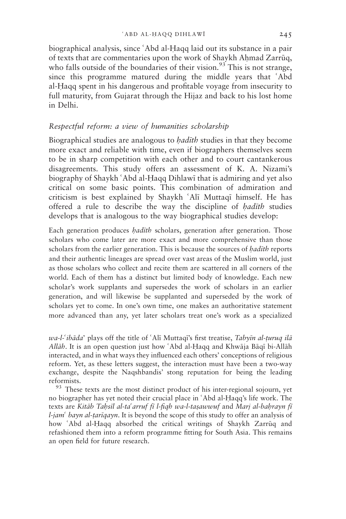biographical analysis, since 'Abd al-Haqq laid out its substance in a pair of texts that are commentaries upon the work of Shaykh Ahmad Zarrūq, who falls outside of the boundaries of their vision.<sup>93</sup> This is not strange, since this programme matured during the middle years that 'Abd al-Eaqq spent in his dangerous and profitable voyage from insecurity to full maturity, from Gujarat through the Hijaz and back to his lost home in Delhi.

### Respectful reform: a view of humanities scholarship

Biographical studies are analogous to *hadith* studies in that they become more exact and reliable with time, even if biographers themselves seem to be in sharp competition with each other and to court cantankerous disagreements. This study offers an assessment of K. A. Nizami's biography of Shaykh 'Abd al-Haqq Dihlawi that is admiring and yet also critical on some basic points. This combination of admiration and criticism is best explained by Shaykh 'Alī Muttaqī himself. He has offered a rule to describe the way the discipline of *hadith* studies develops that is analogous to the way biographical studies develop:

Each generation produces *hadīth* scholars, generation after generation. Those scholars who come later are more exact and more comprehensive than those scholars from the earlier generation. This is because the sources of *hadith* reports and their authentic lineages are spread over vast areas of the Muslim world, just as those scholars who collect and recite them are scattered in all corners of the world. Each of them has a distinct but limited body of knowledge. Each new scholar's work supplants and supersedes the work of scholars in an earlier generation, and will likewise be supplanted and superseded by the work of scholars yet to come. In one's own time, one makes an authoritative statement more advanced than any, yet later scholars treat one's work as a specialized

 $wa-l$ - $ib\bar{a}da'$  plays off the title of 'Alī Muttaqī's first treatise, Tabyin al-turuq ilā Allāh. It is an open question just how 'Abd al-Haqq and Khwāja Bāqī bi-Allāh interacted, and in what ways they influenced each others' conceptions of religious reform. Yet, as these letters suggest, the interaction must have been a two-way exchange, despite the Naqshbandis' stong reputation for being the leading reformists. <sup>93</sup> These texts are the most distinct product of his inter-regional sojourn, yet

no biographer has yet noted their crucial place in 'Abd al-Haqq's life work. The texts are Kitāb Tahsīl al-ta' arruf fī l-fiqh wa-l-taṣawwuf and Marj al-bahrayn fī  $l$ -jam<sup> $\epsilon$ </sup> bayn al-tarīqayn. It is beyond the scope of this study to offer an analysis of how 'Abd al-Haqq absorbed the critical writings of Shaykh Zarrūq and refashioned them into a reform programme fitting for South Asia. This remains an open field for future research.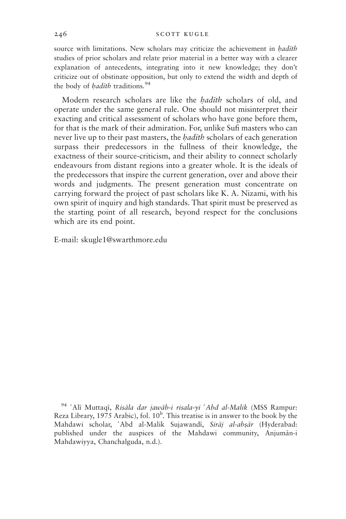### 246 SCOTT KUGLE

source with limitations. New scholars may criticize the achievement in *hadith* studies of prior scholars and relate prior material in a better way with a clearer explanation of antecedents, integrating into it new knowledge; they don't criticize out of obstinate opposition, but only to extend the width and depth of the body of *hadith* traditions.<sup>94</sup>

Modern research scholars are like the hadith scholars of old, and operate under the same general rule. One should not misinterpret their exacting and critical assessment of scholars who have gone before them, for that is the mark of their admiration. For, unlike Sufi masters who can never live up to their past masters, the *hadith* scholars of each generation surpass their predecessors in the fullness of their knowledge, the exactness of their source-criticism, and their ability to connect scholarly endeavours from distant regions into a greater whole. It is the ideals of the predecessors that inspire the current generation, over and above their words and judgments. The present generation must concentrate on carrying forward the project of past scholars like K. A. Nizami, with his own spirit of inquiry and high standards. That spirit must be preserved as the starting point of all research, beyond respect for the conclusions which are its end point.

E-mail: skugle1@swarthmore.edu

94 'Alī Muttaqī, Risāla dar jawāb-i risala-yi 'Abd al-Malik (MSS Rampur: Reza Library, 1975 Arabic), fol.  $10^b$ . This treatise is in answer to the book by the Mahdawi scholar, 'Abd al-Malik Sujawandī, Sirāj al-absār (Hyderabad: published under the auspices of the Mahdawi community, Anjumān-i Mahdawiyya, Chanchalguda, n.d.).